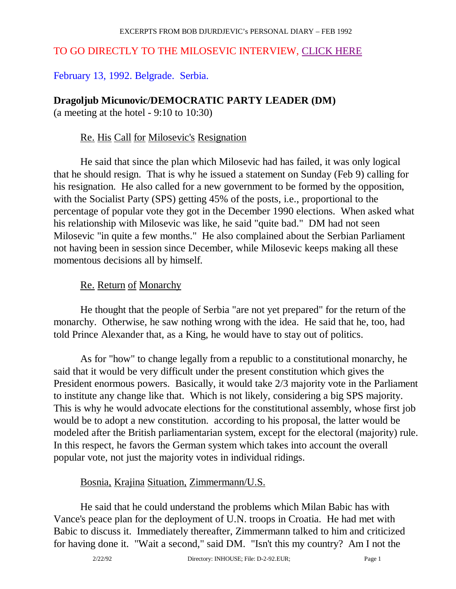### TO GO DIRECTLY TO THE MILOSEVIC INTERVIEW, CLICK HERE

February 13, 1992. Belgrade. Serbia.

#### **Dragoljub Micunovic/DEMOCRATIC PARTY LEADER (DM)**

(a meeting at the hotel - 9:10 to 10:30)

### Re. His Call for Milosevic's Resignation

 He said that since the plan which Milosevic had has failed, it was only logical that he should resign. That is why he issued a statement on Sunday (Feb 9) calling for his resignation. He also called for a new government to be formed by the opposition, with the Socialist Party (SPS) getting 45% of the posts, i.e., proportional to the percentage of popular vote they got in the December 1990 elections. When asked what his relationship with Milosevic was like, he said "quite bad." DM had not seen Milosevic "in quite a few months." He also complained about the Serbian Parliament not having been in session since December, while Milosevic keeps making all these momentous decisions all by himself.

### Re. Return of Monarchy

 He thought that the people of Serbia "are not yet prepared" for the return of the monarchy. Otherwise, he saw nothing wrong with the idea. He said that he, too, had told Prince Alexander that, as a King, he would have to stay out of politics.

 As for "how" to change legally from a republic to a constitutional monarchy, he said that it would be very difficult under the present constitution which gives the President enormous powers. Basically, it would take 2/3 majority vote in the Parliament to institute any change like that. Which is not likely, considering a big SPS majority. This is why he would advocate elections for the constitutional assembly, whose first job would be to adopt a new constitution. according to his proposal, the latter would be modeled after the British parliamentarian system, except for the electoral (majority) rule. In this respect, he favors the German system which takes into account the overall popular vote, not just the majority votes in individual ridings.

## Bosnia, Krajina Situation, Zimmermann/U.S.

 He said that he could understand the problems which Milan Babic has with Vance's peace plan for the deployment of U.N. troops in Croatia. He had met with Babic to discuss it. Immediately thereafter, Zimmermann talked to him and criticized for having done it. "Wait a second," said DM. "Isn't this my country? Am I not the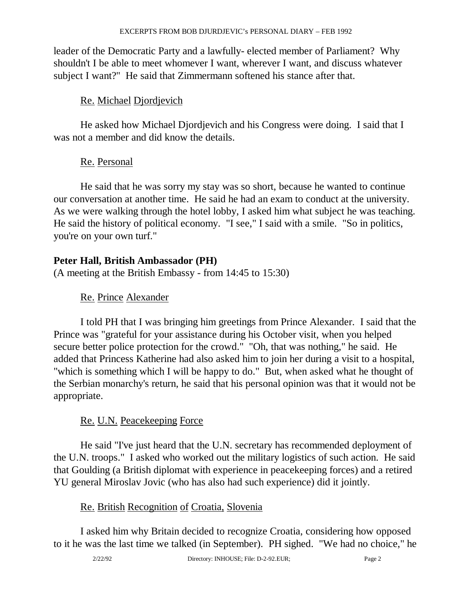leader of the Democratic Party and a lawfully- elected member of Parliament? Why shouldn't I be able to meet whomever I want, wherever I want, and discuss whatever subject I want?" He said that Zimmermann softened his stance after that.

## Re. Michael Djordjevich

 He asked how Michael Djordjevich and his Congress were doing. I said that I was not a member and did know the details.

## Re. Personal

 He said that he was sorry my stay was so short, because he wanted to continue our conversation at another time. He said he had an exam to conduct at the university. As we were walking through the hotel lobby, I asked him what subject he was teaching. He said the history of political economy. "I see," I said with a smile. "So in politics, you're on your own turf."

## **Peter Hall, British Ambassador (PH)**

(A meeting at the British Embassy - from 14:45 to 15:30)

## Re. Prince Alexander

 I told PH that I was bringing him greetings from Prince Alexander. I said that the Prince was "grateful for your assistance during his October visit, when you helped secure better police protection for the crowd." "Oh, that was nothing," he said. He added that Princess Katherine had also asked him to join her during a visit to a hospital, "which is something which I will be happy to do." But, when asked what he thought of the Serbian monarchy's return, he said that his personal opinion was that it would not be appropriate.

## Re. U.N. Peacekeeping Force

 He said "I've just heard that the U.N. secretary has recommended deployment of the U.N. troops." I asked who worked out the military logistics of such action. He said that Goulding (a British diplomat with experience in peacekeeping forces) and a retired YU general Miroslav Jovic (who has also had such experience) did it jointly.

## Re. British Recognition of Croatia, Slovenia

 I asked him why Britain decided to recognize Croatia, considering how opposed to it he was the last time we talked (in September). PH sighed. "We had no choice," he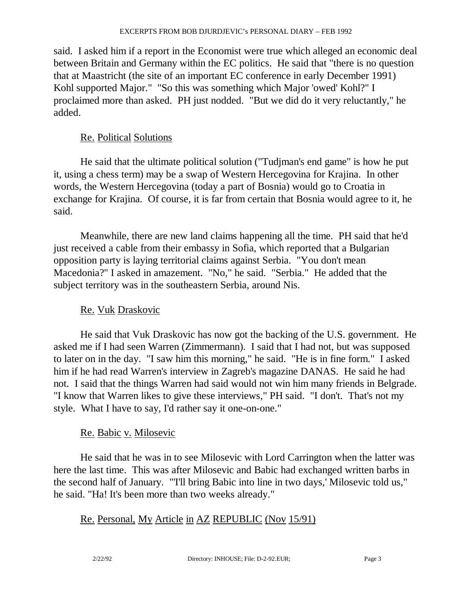said. I asked him if a report in the Economist were true which alleged an economic deal between Britain and Germany within the EC politics. He said that "there is no question that at Maastricht (the site of an important EC conference in early December 1991) Kohl supported Major." "So this was something which Major 'owed' Kohl?" I proclaimed more than asked. PH just nodded. "But we did do it very reluctantly," he added.

## Re. Political Solutions

 He said that the ultimate political solution ("Tudjman's end game" is how he put it, using a chess term) may be a swap of Western Hercegovina for Krajina. In other words, the Western Hercegovina (today a part of Bosnia) would go to Croatia in exchange for Krajina. Of course, it is far from certain that Bosnia would agree to it, he said.

 Meanwhile, there are new land claims happening all the time. PH said that he'd just received a cable from their embassy in Sofia, which reported that a Bulgarian opposition party is laying territorial claims against Serbia. "You don't mean Macedonia?" I asked in amazement. "No," he said. "Serbia." He added that the subject territory was in the southeastern Serbia, around Nis.

## Re. Vuk Draskovic

 He said that Vuk Draskovic has now got the backing of the U.S. government. He asked me if I had seen Warren (Zimmermann). I said that I had not, but was supposed to later on in the day. "I saw him this morning," he said. "He is in fine form." I asked him if he had read Warren's interview in Zagreb's magazine DANAS. He said he had not. I said that the things Warren had said would not win him many friends in Belgrade. "I know that Warren likes to give these interviews," PH said. "I don't. That's not my style. What I have to say, I'd rather say it one-on-one."

## Re. Babic v. Milosevic

 He said that he was in to see Milosevic with Lord Carrington when the latter was here the last time. This was after Milosevic and Babic had exchanged written barbs in the second half of January. "'I'll bring Babic into line in two days,' Milosevic told us," he said. "Ha! It's been more than two weeks already."

## Re. Personal, My Article in AZ REPUBLIC (Nov 15/91)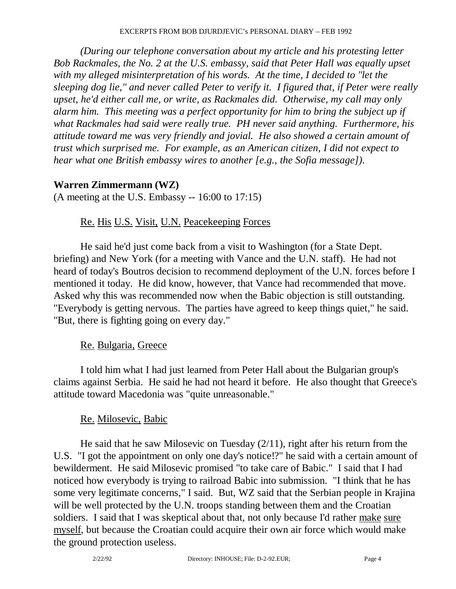*(During our telephone conversation about my article and his protesting letter Bob Rackmales, the No. 2 at the U.S. embassy, said that Peter Hall was equally upset with my alleged misinterpretation of his words. At the time, I decided to "let the sleeping dog lie," and never called Peter to verify it. I figured that, if Peter were really upset, he'd either call me, or write, as Rackmales did. Otherwise, my call may only alarm him. This meeting was a perfect opportunity for him to bring the subject up if what Rackmales had said were really true. PH never said anything. Furthermore, his attitude toward me was very friendly and jovial. He also showed a certain amount of trust which surprised me. For example, as an American citizen, I did not expect to hear what one British embassy wires to another [e.g., the Sofia message])*.

## **Warren Zimmermann (WZ)**

(A meeting at the U.S. Embassy -- 16:00 to 17:15)

## Re. His U.S. Visit, U.N. Peacekeeping Forces

 He said he'd just come back from a visit to Washington (for a State Dept. briefing) and New York (for a meeting with Vance and the U.N. staff). He had not heard of today's Boutros decision to recommend deployment of the U.N. forces before I mentioned it today. He did know, however, that Vance had recommended that move. Asked why this was recommended now when the Babic objection is still outstanding. "Everybody is getting nervous. The parties have agreed to keep things quiet," he said. "But, there is fighting going on every day."

## Re. Bulgaria, Greece

 I told him what I had just learned from Peter Hall about the Bulgarian group's claims against Serbia. He said he had not heard it before. He also thought that Greece's attitude toward Macedonia was "quite unreasonable."

## Re. Milosevic, Babic

 He said that he saw Milosevic on Tuesday (2/11), right after his return from the U.S. "I got the appointment on only one day's notice!?" he said with a certain amount of bewilderment. He said Milosevic promised "to take care of Babic." I said that I had noticed how everybody is trying to railroad Babic into submission. "I think that he has some very legitimate concerns," I said. But, WZ said that the Serbian people in Krajina will be well protected by the U.N. troops standing between them and the Croatian soldiers. I said that I was skeptical about that, not only because I'd rather make sure myself, but because the Croatian could acquire their own air force which would make the ground protection useless.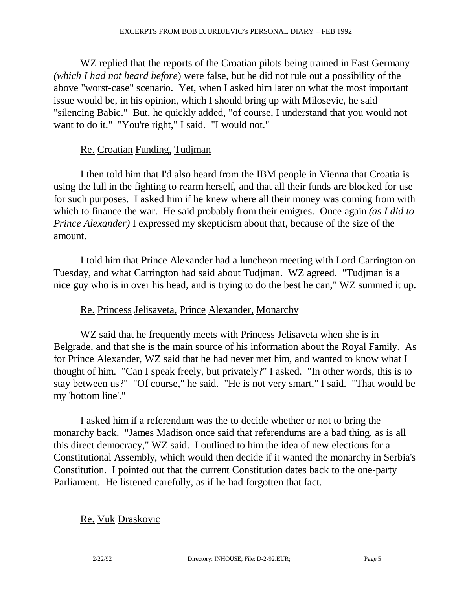WZ replied that the reports of the Croatian pilots being trained in East Germany *(which I had not heard before*) were false, but he did not rule out a possibility of the above "worst-case" scenario. Yet, when I asked him later on what the most important issue would be, in his opinion, which I should bring up with Milosevic, he said "silencing Babic." But, he quickly added, "of course, I understand that you would not want to do it." "You're right," I said. "I would not."

#### Re. Croatian Funding, Tudjman

 I then told him that I'd also heard from the IBM people in Vienna that Croatia is using the lull in the fighting to rearm herself, and that all their funds are blocked for use for such purposes. I asked him if he knew where all their money was coming from with which to finance the war. He said probably from their emigres. Once again *(as I did to Prince Alexander)* I expressed my skepticism about that, because of the size of the amount.

 I told him that Prince Alexander had a luncheon meeting with Lord Carrington on Tuesday, and what Carrington had said about Tudjman. WZ agreed. "Tudjman is a nice guy who is in over his head, and is trying to do the best he can," WZ summed it up.

#### Re. Princess Jelisaveta, Prince Alexander, Monarchy

 WZ said that he frequently meets with Princess Jelisaveta when she is in Belgrade, and that she is the main source of his information about the Royal Family. As for Prince Alexander, WZ said that he had never met him, and wanted to know what I thought of him. "Can I speak freely, but privately?" I asked. "In other words, this is to stay between us?" "Of course," he said. "He is not very smart," I said. "That would be my 'bottom line'."

 I asked him if a referendum was the to decide whether or not to bring the monarchy back. "James Madison once said that referendums are a bad thing, as is all this direct democracy," WZ said. I outlined to him the idea of new elections for a Constitutional Assembly, which would then decide if it wanted the monarchy in Serbia's Constitution. I pointed out that the current Constitution dates back to the one-party Parliament. He listened carefully, as if he had forgotten that fact.

#### Re. Vuk Draskovic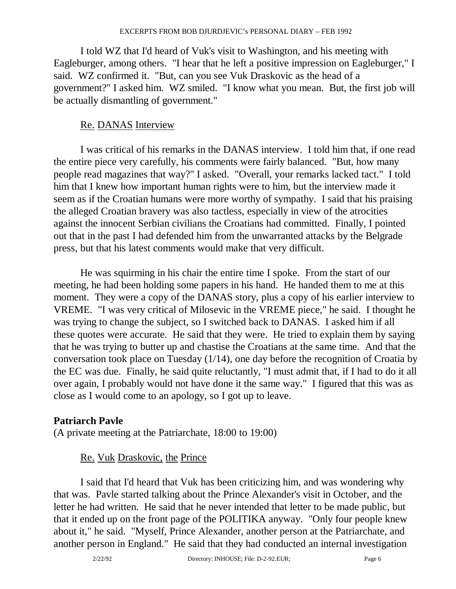I told WZ that I'd heard of Vuk's visit to Washington, and his meeting with Eagleburger, among others. "I hear that he left a positive impression on Eagleburger," I said. WZ confirmed it. "But, can you see Vuk Draskovic as the head of a government?" I asked him. WZ smiled. "I know what you mean. But, the first job will be actually dismantling of government."

## Re. DANAS Interview

 I was critical of his remarks in the DANAS interview. I told him that, if one read the entire piece very carefully, his comments were fairly balanced. "But, how many people read magazines that way?" I asked. "Overall, your remarks lacked tact." I told him that I knew how important human rights were to him, but the interview made it seem as if the Croatian humans were more worthy of sympathy. I said that his praising the alleged Croatian bravery was also tactless, especially in view of the atrocities against the innocent Serbian civilians the Croatians had committed. Finally, I pointed out that in the past I had defended him from the unwarranted attacks by the Belgrade press, but that his latest comments would make that very difficult.

 He was squirming in his chair the entire time I spoke. From the start of our meeting, he had been holding some papers in his hand. He handed them to me at this moment. They were a copy of the DANAS story, plus a copy of his earlier interview to VREME. "I was very critical of Milosevic in the VREME piece," he said. I thought he was trying to change the subject, so I switched back to DANAS. I asked him if all these quotes were accurate. He said that they were. He tried to explain them by saying that he was trying to butter up and chastise the Croatians at the same time. And that the conversation took place on Tuesday (1/14), one day before the recognition of Croatia by the EC was due. Finally, he said quite reluctantly, "I must admit that, if I had to do it all over again, I probably would not have done it the same way." I figured that this was as close as I would come to an apology, so I got up to leave.

## **Patriarch Pavle**

(A private meeting at the Patriarchate, 18:00 to 19:00)

## Re. Vuk Draskovic, the Prince

 I said that I'd heard that Vuk has been criticizing him, and was wondering why that was. Pavle started talking about the Prince Alexander's visit in October, and the letter he had written. He said that he never intended that letter to be made public, but that it ended up on the front page of the POLITIKA anyway. "Only four people knew about it," he said. "Myself, Prince Alexander, another person at the Patriarchate, and another person in England." He said that they had conducted an internal investigation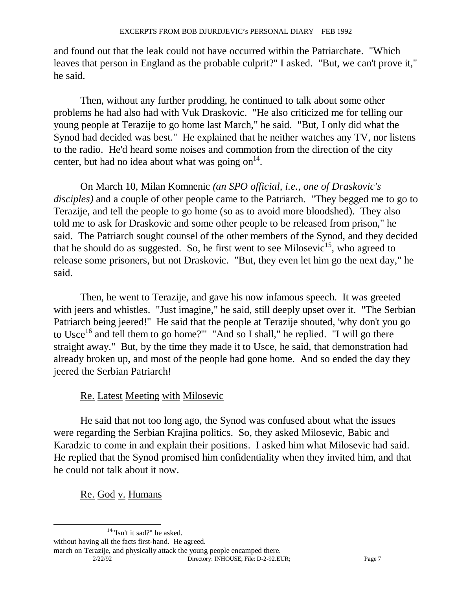and found out that the leak could not have occurred within the Patriarchate. "Which leaves that person in England as the probable culprit?" I asked. "But, we can't prove it," he said.

 Then, without any further prodding, he continued to talk about some other problems he had also had with Vuk Draskovic. "He also criticized me for telling our young people at Terazije to go home last March," he said. "But, I only did what the Synod had decided was best." He explained that he neither watches any TV, nor listens to the radio. He'd heard some noises and commotion from the direction of the city center, but had no idea about what was going on $^{14}$ .

 On March 10, Milan Komnenic *(an SPO official, i.e., one of Draskovic's disciples)* and a couple of other people came to the Patriarch. "They begged me to go to Terazije, and tell the people to go home (so as to avoid more bloodshed). They also told me to ask for Draskovic and some other people to be released from prison," he said. The Patriarch sought counsel of the other members of the Synod, and they decided that he should do as suggested. So, he first went to see Milosevic<sup>15</sup>, who agreed to release some prisoners, but not Draskovic. "But, they even let him go the next day," he said.

 Then, he went to Terazije, and gave his now infamous speech. It was greeted with jeers and whistles. "Just imagine," he said, still deeply upset over it. "The Serbian Patriarch being jeered!" He said that the people at Terazije shouted, 'why don't you go to Usce<sup>16</sup> and tell them to go home?" "And so I shall," he replied. "I will go there straight away." But, by the time they made it to Usce, he said, that demonstration had already broken up, and most of the people had gone home. And so ended the day they jeered the Serbian Patriarch!

## Re. Latest Meeting with Milosevic

 He said that not too long ago, the Synod was confused about what the issues were regarding the Serbian Krajina politics. So, they asked Milosevic, Babic and Karadzic to come in and explain their positions. I asked him what Milosevic had said. He replied that the Synod promised him confidentiality when they invited him, and that he could not talk about it now.

Re. God v. Humans

14"Isn't it sad?" he asked.

 2/22/92 Directory: INHOUSE; File: D-2-92.EUR; Page 7 march on Terazije, and physically attack the young people encamped there.

without having all the facts first-hand. He agreed.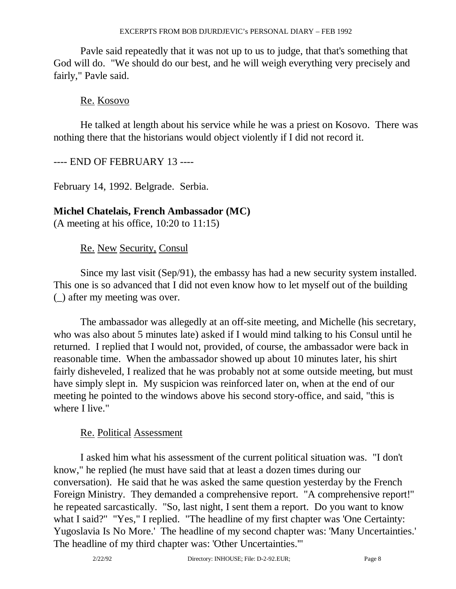Pavle said repeatedly that it was not up to us to judge, that that's something that God will do. "We should do our best, and he will weigh everything very precisely and fairly," Pavle said.

### Re. Kosovo

 He talked at length about his service while he was a priest on Kosovo. There was nothing there that the historians would object violently if I did not record it.

### ---- END OF FEBRUARY 13 ----

February 14, 1992. Belgrade. Serbia.

#### **Michel Chatelais, French Ambassador (MC)**

(A meeting at his office, 10:20 to 11:15)

Re. New Security, Consul

 Since my last visit (Sep/91), the embassy has had a new security system installed. This one is so advanced that I did not even know how to let myself out of the building (\_) after my meeting was over.

 The ambassador was allegedly at an off-site meeting, and Michelle (his secretary, who was also about 5 minutes late) asked if I would mind talking to his Consul until he returned. I replied that I would not, provided, of course, the ambassador were back in reasonable time. When the ambassador showed up about 10 minutes later, his shirt fairly disheveled, I realized that he was probably not at some outside meeting, but must have simply slept in. My suspicion was reinforced later on, when at the end of our meeting he pointed to the windows above his second story-office, and said, "this is where I live."

#### Re. Political Assessment

 I asked him what his assessment of the current political situation was. "I don't know," he replied (he must have said that at least a dozen times during our conversation). He said that he was asked the same question yesterday by the French Foreign Ministry. They demanded a comprehensive report. "A comprehensive report!" he repeated sarcastically. "So, last night, I sent them a report. Do you want to know what I said?" "Yes," I replied. "The headline of my first chapter was 'One Certainty: Yugoslavia Is No More.' The headline of my second chapter was: 'Many Uncertainties.' The headline of my third chapter was: 'Other Uncertainties.'"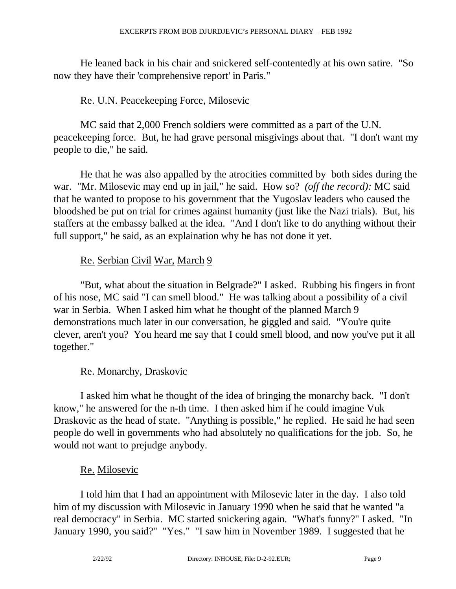He leaned back in his chair and snickered self-contentedly at his own satire. "So now they have their 'comprehensive report' in Paris."

## Re. U.N. Peacekeeping Force, Milosevic

 MC said that 2,000 French soldiers were committed as a part of the U.N. peacekeeping force. But, he had grave personal misgivings about that. "I don't want my people to die," he said.

 He that he was also appalled by the atrocities committed by both sides during the war. "Mr. Milosevic may end up in jail," he said. How so? *(off the record):* MC said that he wanted to propose to his government that the Yugoslav leaders who caused the bloodshed be put on trial for crimes against humanity (just like the Nazi trials). But, his staffers at the embassy balked at the idea. "And I don't like to do anything without their full support," he said, as an explaination why he has not done it yet.

## Re. Serbian Civil War, March 9

 "But, what about the situation in Belgrade?" I asked. Rubbing his fingers in front of his nose, MC said "I can smell blood." He was talking about a possibility of a civil war in Serbia. When I asked him what he thought of the planned March 9 demonstrations much later in our conversation, he giggled and said. "You're quite clever, aren't you? You heard me say that I could smell blood, and now you've put it all together."

## Re. Monarchy, Draskovic

 I asked him what he thought of the idea of bringing the monarchy back. "I don't know," he answered for the n-th time. I then asked him if he could imagine Vuk Draskovic as the head of state. "Anything is possible," he replied. He said he had seen people do well in governments who had absolutely no qualifications for the job. So, he would not want to prejudge anybody.

#### Re. Milosevic

 I told him that I had an appointment with Milosevic later in the day. I also told him of my discussion with Milosevic in January 1990 when he said that he wanted "a real democracy" in Serbia. MC started snickering again. "What's funny?" I asked. "In January 1990, you said?" "Yes." "I saw him in November 1989. I suggested that he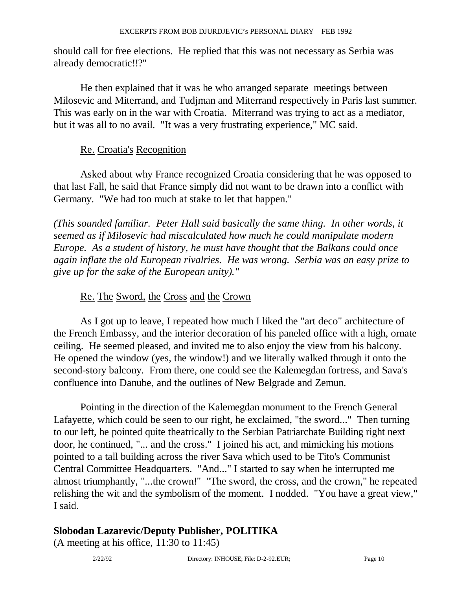should call for free elections. He replied that this was not necessary as Serbia was already democratic!!?"

 He then explained that it was he who arranged separate meetings between Milosevic and Miterrand, and Tudjman and Miterrand respectively in Paris last summer. This was early on in the war with Croatia. Miterrand was trying to act as a mediator, but it was all to no avail. "It was a very frustrating experience," MC said.

#### Re. Croatia's Recognition

 Asked about why France recognized Croatia considering that he was opposed to that last Fall, he said that France simply did not want to be drawn into a conflict with Germany. "We had too much at stake to let that happen."

*(This sounded familiar. Peter Hall said basically the same thing. In other words, it seemed as if Milosevic had miscalculated how much he could manipulate modern Europe. As a student of history, he must have thought that the Balkans could once again inflate the old European rivalries. He was wrong. Serbia was an easy prize to give up for the sake of the European unity)."* 

#### Re. The Sword, the Cross and the Crown

 As I got up to leave, I repeated how much I liked the "art deco" architecture of the French Embassy, and the interior decoration of his paneled office with a high, ornate ceiling. He seemed pleased, and invited me to also enjoy the view from his balcony. He opened the window (yes, the window!) and we literally walked through it onto the second-story balcony. From there, one could see the Kalemegdan fortress, and Sava's confluence into Danube, and the outlines of New Belgrade and Zemun.

 Pointing in the direction of the Kalemegdan monument to the French General Lafayette, which could be seen to our right, he exclaimed, "the sword..." Then turning to our left, he pointed quite theatrically to the Serbian Patriarchate Building right next door, he continued, "... and the cross." I joined his act, and mimicking his motions pointed to a tall building across the river Sava which used to be Tito's Communist Central Committee Headquarters. "And..." I started to say when he interrupted me almost triumphantly, "...the crown!" "The sword, the cross, and the crown," he repeated relishing the wit and the symbolism of the moment. I nodded. "You have a great view," I said.

#### **Slobodan Lazarevic/Deputy Publisher, POLITIKA**

(A meeting at his office, 11:30 to 11:45)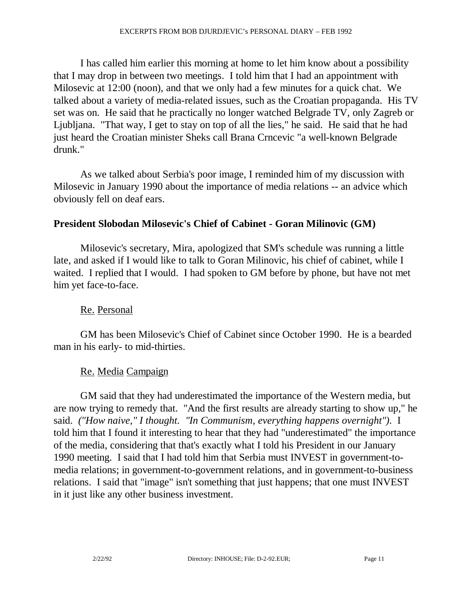I has called him earlier this morning at home to let him know about a possibility that I may drop in between two meetings. I told him that I had an appointment with Milosevic at 12:00 (noon), and that we only had a few minutes for a quick chat. We talked about a variety of media-related issues, such as the Croatian propaganda. His TV set was on. He said that he practically no longer watched Belgrade TV, only Zagreb or Ljubljana. "That way, I get to stay on top of all the lies," he said. He said that he had just heard the Croatian minister Sheks call Brana Crncevic "a well-known Belgrade drunk."

 As we talked about Serbia's poor image, I reminded him of my discussion with Milosevic in January 1990 about the importance of media relations -- an advice which obviously fell on deaf ears.

### **President Slobodan Milosevic's Chief of Cabinet - Goran Milinovic (GM)**

 Milosevic's secretary, Mira, apologized that SM's schedule was running a little late, and asked if I would like to talk to Goran Milinovic, his chief of cabinet, while I waited. I replied that I would. I had spoken to GM before by phone, but have not met him yet face-to-face.

#### Re. Personal

 GM has been Milosevic's Chief of Cabinet since October 1990. He is a bearded man in his early- to mid-thirties.

#### Re. Media Campaign

 GM said that they had underestimated the importance of the Western media, but are now trying to remedy that. "And the first results are already starting to show up," he said. *("How naive," I thought. "In Communism, everything happens overnight")*. I told him that I found it interesting to hear that they had "underestimated" the importance of the media, considering that that's exactly what I told his President in our January 1990 meeting. I said that I had told him that Serbia must INVEST in government-tomedia relations; in government-to-government relations, and in government-to-business relations. I said that "image" isn't something that just happens; that one must INVEST in it just like any other business investment.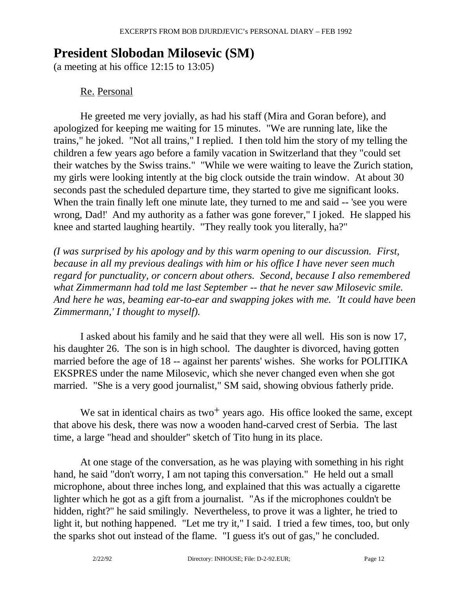# **President Slobodan Milosevic (SM)**

(a meeting at his office 12:15 to 13:05)

## Re. Personal

 He greeted me very jovially, as had his staff (Mira and Goran before), and apologized for keeping me waiting for 15 minutes. "We are running late, like the trains," he joked. "Not all trains," I replied. I then told him the story of my telling the children a few years ago before a family vacation in Switzerland that they "could set their watches by the Swiss trains." "While we were waiting to leave the Zurich station, my girls were looking intently at the big clock outside the train window. At about 30 seconds past the scheduled departure time, they started to give me significant looks. When the train finally left one minute late, they turned to me and said -- 'see you were wrong, Dad!' And my authority as a father was gone forever," I joked. He slapped his knee and started laughing heartily. "They really took you literally, ha?"

*(I was surprised by his apology and by this warm opening to our discussion. First, because in all my previous dealings with him or his office I have never seen much regard for punctuality, or concern about others. Second, because I also remembered what Zimmermann had told me last September -- that he never saw Milosevic smile. And here he was, beaming ear-to-ear and swapping jokes with me. 'It could have been Zimmermann,' I thought to myself).* 

 I asked about his family and he said that they were all well. His son is now 17, his daughter 26. The son is in high school. The daughter is divorced, having gotten married before the age of 18 -- against her parents' wishes. She works for POLITIKA EKSPRES under the name Milosevic, which she never changed even when she got married. "She is a very good journalist," SM said, showing obvious fatherly pride.

We sat in identical chairs as two+ years ago. His office looked the same, except that above his desk, there was now a wooden hand-carved crest of Serbia. The last time, a large "head and shoulder" sketch of Tito hung in its place.

 At one stage of the conversation, as he was playing with something in his right hand, he said "don't worry, I am not taping this conversation." He held out a small microphone, about three inches long, and explained that this was actually a cigarette lighter which he got as a gift from a journalist. "As if the microphones couldn't be hidden, right?" he said smilingly. Nevertheless, to prove it was a lighter, he tried to light it, but nothing happened. "Let me try it," I said. I tried a few times, too, but only the sparks shot out instead of the flame. "I guess it's out of gas," he concluded.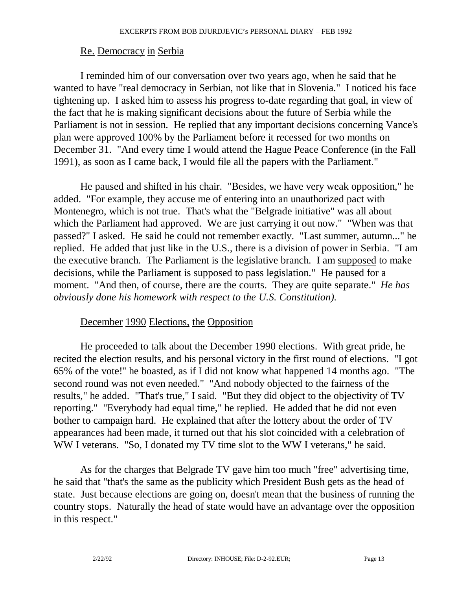#### Re. Democracy in Serbia

 I reminded him of our conversation over two years ago, when he said that he wanted to have "real democracy in Serbian, not like that in Slovenia." I noticed his face tightening up. I asked him to assess his progress to-date regarding that goal, in view of the fact that he is making significant decisions about the future of Serbia while the Parliament is not in session. He replied that any important decisions concerning Vance's plan were approved 100% by the Parliament before it recessed for two months on December 31. "And every time I would attend the Hague Peace Conference (in the Fall 1991), as soon as I came back, I would file all the papers with the Parliament."

 He paused and shifted in his chair. "Besides, we have very weak opposition," he added. "For example, they accuse me of entering into an unauthorized pact with Montenegro, which is not true. That's what the "Belgrade initiative" was all about which the Parliament had approved. We are just carrying it out now." "When was that passed?" I asked. He said he could not remember exactly. "Last summer, autumn..." he replied. He added that just like in the U.S., there is a division of power in Serbia. "I am the executive branch. The Parliament is the legislative branch. I am supposed to make decisions, while the Parliament is supposed to pass legislation." He paused for a moment. "And then, of course, there are the courts. They are quite separate." *He has obviously done his homework with respect to the U.S. Constitution).* 

#### December 1990 Elections, the Opposition

 He proceeded to talk about the December 1990 elections. With great pride, he recited the election results, and his personal victory in the first round of elections. "I got 65% of the vote!" he boasted, as if I did not know what happened 14 months ago. "The second round was not even needed." "And nobody objected to the fairness of the results," he added. "That's true," I said. "But they did object to the objectivity of TV reporting." "Everybody had equal time," he replied. He added that he did not even bother to campaign hard. He explained that after the lottery about the order of TV appearances had been made, it turned out that his slot coincided with a celebration of WW I veterans. "So, I donated my TV time slot to the WW I veterans," he said.

 As for the charges that Belgrade TV gave him too much "free" advertising time, he said that "that's the same as the publicity which President Bush gets as the head of state. Just because elections are going on, doesn't mean that the business of running the country stops. Naturally the head of state would have an advantage over the opposition in this respect."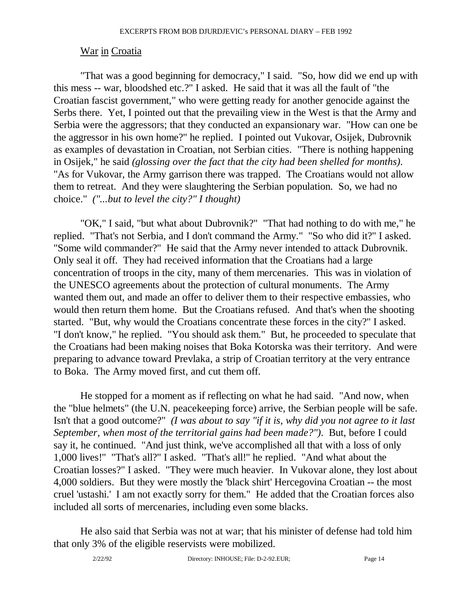#### War in Croatia

 "That was a good beginning for democracy," I said. "So, how did we end up with this mess -- war, bloodshed etc.?" I asked. He said that it was all the fault of "the Croatian fascist government," who were getting ready for another genocide against the Serbs there. Yet, I pointed out that the prevailing view in the West is that the Army and Serbia were the aggressors; that they conducted an expansionary war. "How can one be the aggressor in his own home?" he replied. I pointed out Vukovar, Osijek, Dubrovnik as examples of devastation in Croatian, not Serbian cities. "There is nothing happening in Osijek," he said *(glossing over the fact that the city had been shelled for months)*. "As for Vukovar, the Army garrison there was trapped. The Croatians would not allow them to retreat. And they were slaughtering the Serbian population. So, we had no choice." *("...but to level the city?" I thought)* 

 "OK," I said, "but what about Dubrovnik?" "That had nothing to do with me," he replied. "That's not Serbia, and I don't command the Army." "So who did it?" I asked. "Some wild commander?" He said that the Army never intended to attack Dubrovnik. Only seal it off. They had received information that the Croatians had a large concentration of troops in the city, many of them mercenaries. This was in violation of the UNESCO agreements about the protection of cultural monuments. The Army wanted them out, and made an offer to deliver them to their respective embassies, who would then return them home. But the Croatians refused. And that's when the shooting started. "But, why would the Croatians concentrate these forces in the city?" I asked. "I don't know," he replied. "You should ask them." But, he proceeded to speculate that the Croatians had been making noises that Boka Kotorska was their territory. And were preparing to advance toward Prevlaka, a strip of Croatian territory at the very entrance to Boka. The Army moved first, and cut them off.

 He stopped for a moment as if reflecting on what he had said. "And now, when the "blue helmets" (the U.N. peacekeeping force) arrive, the Serbian people will be safe. Isn't that a good outcome?" *(I was about to say "if it is, why did you not agree to it last September, when most of the territorial gains had been made?")*. But, before I could say it, he continued. "And just think, we've accomplished all that with a loss of only 1,000 lives!" "That's all?" I asked. "That's all!" he replied. "And what about the Croatian losses?" I asked. "They were much heavier. In Vukovar alone, they lost about 4,000 soldiers. But they were mostly the 'black shirt' Hercegovina Croatian -- the most cruel 'ustashi.' I am not exactly sorry for them." He added that the Croatian forces also included all sorts of mercenaries, including even some blacks.

 He also said that Serbia was not at war; that his minister of defense had told him that only 3% of the eligible reservists were mobilized.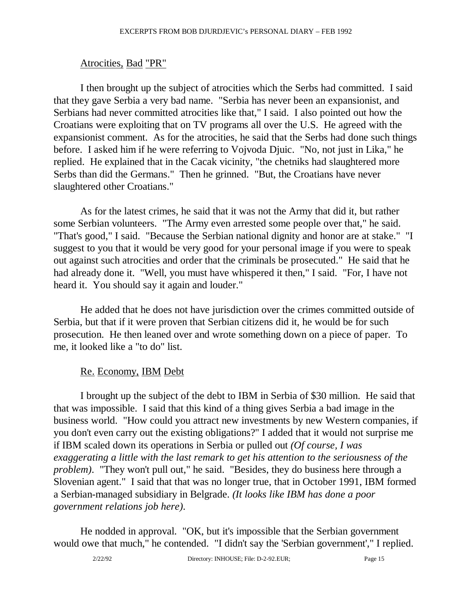## Atrocities, Bad "PR"

 I then brought up the subject of atrocities which the Serbs had committed. I said that they gave Serbia a very bad name. "Serbia has never been an expansionist, and Serbians had never committed atrocities like that," I said. I also pointed out how the Croatians were exploiting that on TV programs all over the U.S. He agreed with the expansionist comment. As for the atrocities, he said that the Serbs had done such things before. I asked him if he were referring to Vojvoda Djuic. "No, not just in Lika," he replied. He explained that in the Cacak vicinity, "the chetniks had slaughtered more Serbs than did the Germans." Then he grinned. "But, the Croatians have never slaughtered other Croatians."

 As for the latest crimes, he said that it was not the Army that did it, but rather some Serbian volunteers. "The Army even arrested some people over that," he said. "That's good," I said. "Because the Serbian national dignity and honor are at stake." "I suggest to you that it would be very good for your personal image if you were to speak out against such atrocities and order that the criminals be prosecuted." He said that he had already done it. "Well, you must have whispered it then," I said. "For, I have not heard it. You should say it again and louder."

 He added that he does not have jurisdiction over the crimes committed outside of Serbia, but that if it were proven that Serbian citizens did it, he would be for such prosecution. He then leaned over and wrote something down on a piece of paper. To me, it looked like a "to do" list.

## Re. Economy, IBM Debt

 I brought up the subject of the debt to IBM in Serbia of \$30 million. He said that that was impossible. I said that this kind of a thing gives Serbia a bad image in the business world. "How could you attract new investments by new Western companies, if you don't even carry out the existing obligations?" I added that it would not surprise me if IBM scaled down its operations in Serbia or pulled out *(Of course, I was exaggerating a little with the last remark to get his attention to the seriousness of the problem)*. "They won't pull out," he said. "Besides, they do business here through a Slovenian agent." I said that that was no longer true, that in October 1991, IBM formed a Serbian-managed subsidiary in Belgrade. *(It looks like IBM has done a poor government relations job here)*.

 He nodded in approval. "OK, but it's impossible that the Serbian government would owe that much," he contended. "I didn't say the 'Serbian government'," I replied.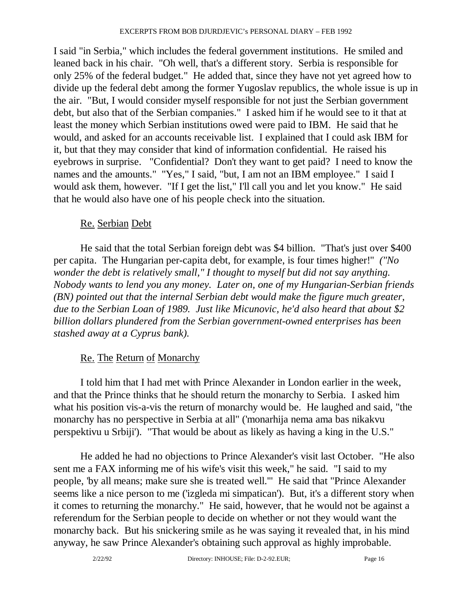I said "in Serbia," which includes the federal government institutions. He smiled and leaned back in his chair. "Oh well, that's a different story. Serbia is responsible for only 25% of the federal budget." He added that, since they have not yet agreed how to divide up the federal debt among the former Yugoslav republics, the whole issue is up in the air. "But, I would consider myself responsible for not just the Serbian government debt, but also that of the Serbian companies." I asked him if he would see to it that at least the money which Serbian institutions owed were paid to IBM. He said that he would, and asked for an accounts receivable list. I explained that I could ask IBM for it, but that they may consider that kind of information confidential. He raised his eyebrows in surprise. "Confidential? Don't they want to get paid? I need to know the names and the amounts." "Yes," I said, "but, I am not an IBM employee." I said I would ask them, however. "If I get the list," I'll call you and let you know." He said that he would also have one of his people check into the situation.

### Re. Serbian Debt

 He said that the total Serbian foreign debt was \$4 billion. "That's just over \$400 per capita. The Hungarian per-capita debt, for example, is four times higher!" *("No wonder the debt is relatively small," I thought to myself but did not say anything. Nobody wants to lend you any money. Later on, one of my Hungarian-Serbian friends (BN) pointed out that the internal Serbian debt would make the figure much greater, due to the Serbian Loan of 1989. Just like Micunovic, he'd also heard that about \$2 billion dollars plundered from the Serbian government-owned enterprises has been stashed away at a Cyprus bank).*

## Re. The Return of Monarchy

 I told him that I had met with Prince Alexander in London earlier in the week, and that the Prince thinks that he should return the monarchy to Serbia. I asked him what his position vis-a-vis the return of monarchy would be. He laughed and said, "the monarchy has no perspective in Serbia at all" ('monarhija nema ama bas nikakvu perspektivu u Srbiji'). "That would be about as likely as having a king in the U.S."

 He added he had no objections to Prince Alexander's visit last October. "He also sent me a FAX informing me of his wife's visit this week," he said. "I said to my people, 'by all means; make sure she is treated well.'" He said that "Prince Alexander seems like a nice person to me ('izgleda mi simpatican'). But, it's a different story when it comes to returning the monarchy." He said, however, that he would not be against a referendum for the Serbian people to decide on whether or not they would want the monarchy back. But his snickering smile as he was saying it revealed that, in his mind anyway, he saw Prince Alexander's obtaining such approval as highly improbable.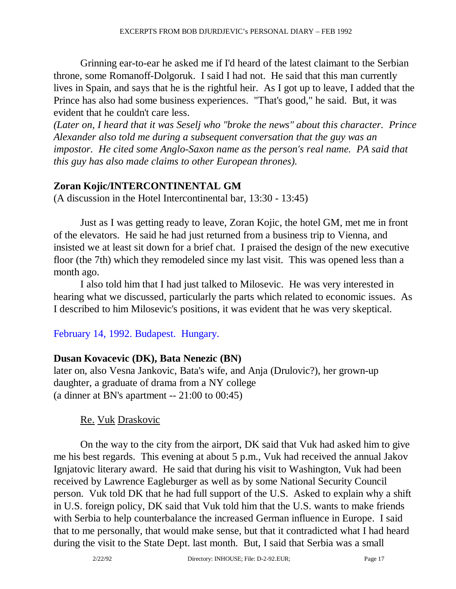Grinning ear-to-ear he asked me if I'd heard of the latest claimant to the Serbian throne, some Romanoff-Dolgoruk. I said I had not. He said that this man currently lives in Spain, and says that he is the rightful heir. As I got up to leave, I added that the Prince has also had some business experiences. "That's good," he said. But, it was evident that he couldn't care less.

*(Later on, I heard that it was Seselj who "broke the news" about this character. Prince Alexander also told me during a subsequent conversation that the guy was an impostor. He cited some Anglo-Saxon name as the person's real name. PA said that this guy has also made claims to other European thrones).* 

#### **Zoran Kojic/INTERCONTINENTAL GM**

(A discussion in the Hotel Intercontinental bar, 13:30 - 13:45)

 Just as I was getting ready to leave, Zoran Kojic, the hotel GM, met me in front of the elevators. He said he had just returned from a business trip to Vienna, and insisted we at least sit down for a brief chat. I praised the design of the new executive floor (the 7th) which they remodeled since my last visit. This was opened less than a month ago.

 I also told him that I had just talked to Milosevic. He was very interested in hearing what we discussed, particularly the parts which related to economic issues. As I described to him Milosevic's positions, it was evident that he was very skeptical.

## February 14, 1992. Budapest. Hungary.

## **Dusan Kovacevic (DK), Bata Nenezic (BN)**

later on, also Vesna Jankovic, Bata's wife, and Anja (Drulovic?), her grown-up daughter, a graduate of drama from a NY college (a dinner at BN's apartment  $-21:00$  to  $00:45$ )

## Re. Vuk Draskovic

 On the way to the city from the airport, DK said that Vuk had asked him to give me his best regards. This evening at about 5 p.m., Vuk had received the annual Jakov Ignjatovic literary award. He said that during his visit to Washington, Vuk had been received by Lawrence Eagleburger as well as by some National Security Council person. Vuk told DK that he had full support of the U.S. Asked to explain why a shift in U.S. foreign policy, DK said that Vuk told him that the U.S. wants to make friends with Serbia to help counterbalance the increased German influence in Europe. I said that to me personally, that would make sense, but that it contradicted what I had heard during the visit to the State Dept. last month. But, I said that Serbia was a small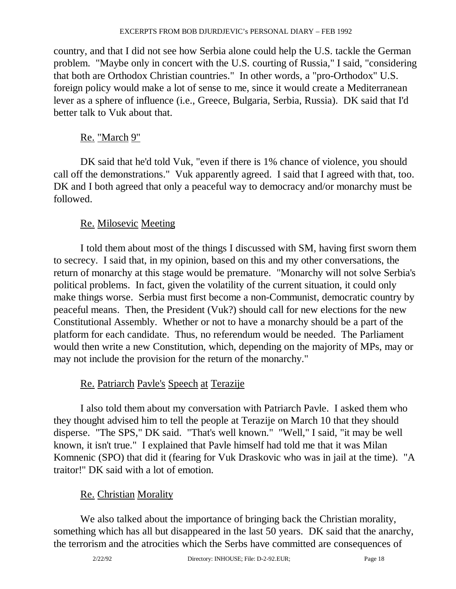country, and that I did not see how Serbia alone could help the U.S. tackle the German problem. "Maybe only in concert with the U.S. courting of Russia," I said, "considering that both are Orthodox Christian countries." In other words, a "pro-Orthodox" U.S. foreign policy would make a lot of sense to me, since it would create a Mediterranean lever as a sphere of influence (i.e., Greece, Bulgaria, Serbia, Russia). DK said that I'd better talk to Vuk about that.

## <u>Re. "March 9"</u>

 DK said that he'd told Vuk, "even if there is 1% chance of violence, you should call off the demonstrations." Vuk apparently agreed. I said that I agreed with that, too. DK and I both agreed that only a peaceful way to democracy and/or monarchy must be followed.

## Re. Milosevic Meeting

 I told them about most of the things I discussed with SM, having first sworn them to secrecy. I said that, in my opinion, based on this and my other conversations, the return of monarchy at this stage would be premature. "Monarchy will not solve Serbia's political problems. In fact, given the volatility of the current situation, it could only make things worse. Serbia must first become a non-Communist, democratic country by peaceful means. Then, the President (Vuk?) should call for new elections for the new Constitutional Assembly. Whether or not to have a monarchy should be a part of the platform for each candidate. Thus, no referendum would be needed. The Parliament would then write a new Constitution, which, depending on the majority of MPs, may or may not include the provision for the return of the monarchy."

## Re. Patriarch Pavle's Speech at Terazije

 I also told them about my conversation with Patriarch Pavle. I asked them who they thought advised him to tell the people at Terazije on March 10 that they should disperse. "The SPS," DK said. "That's well known." "Well," I said, "it may be well known, it isn't true." I explained that Pavle himself had told me that it was Milan Komnenic (SPO) that did it (fearing for Vuk Draskovic who was in jail at the time). "A traitor!" DK said with a lot of emotion.

## Re. Christian Morality

 We also talked about the importance of bringing back the Christian morality, something which has all but disappeared in the last 50 years. DK said that the anarchy, the terrorism and the atrocities which the Serbs have committed are consequences of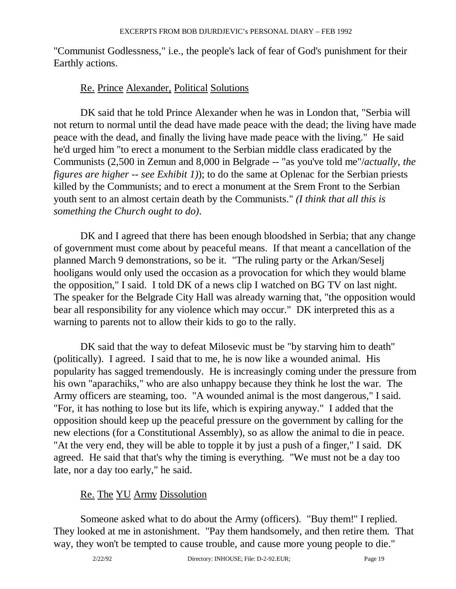"Communist Godlessness," i.e., the people's lack of fear of God's punishment for their Earthly actions.

### Re. Prince Alexander, Political Solutions

 DK said that he told Prince Alexander when he was in London that, "Serbia will not return to normal until the dead have made peace with the dead; the living have made peace with the dead, and finally the living have made peace with the living." He said he'd urged him "to erect a monument to the Serbian middle class eradicated by the Communists (2,500 in Zemun and 8,000 in Belgrade -- "as you've told me"/*actually, the figures are higher -- see Exhibit 1*)); to do the same at Oplenac for the Serbian priests killed by the Communists; and to erect a monument at the Srem Front to the Serbian youth sent to an almost certain death by the Communists." *(I think that all this is something the Church ought to do)*.

 DK and I agreed that there has been enough bloodshed in Serbia; that any change of government must come about by peaceful means. If that meant a cancellation of the planned March 9 demonstrations, so be it. "The ruling party or the Arkan/Seselj hooligans would only used the occasion as a provocation for which they would blame the opposition," I said. I told DK of a news clip I watched on BG TV on last night. The speaker for the Belgrade City Hall was already warning that, "the opposition would bear all responsibility for any violence which may occur." DK interpreted this as a warning to parents not to allow their kids to go to the rally.

 DK said that the way to defeat Milosevic must be "by starving him to death" (politically). I agreed. I said that to me, he is now like a wounded animal. His popularity has sagged tremendously. He is increasingly coming under the pressure from his own "aparachiks," who are also unhappy because they think he lost the war. The Army officers are steaming, too. "A wounded animal is the most dangerous," I said. "For, it has nothing to lose but its life, which is expiring anyway." I added that the opposition should keep up the peaceful pressure on the government by calling for the new elections (for a Constitutional Assembly), so as allow the animal to die in peace. "At the very end, they will be able to topple it by just a push of a finger," I said. DK agreed. He said that that's why the timing is everything. "We must not be a day too late, nor a day too early," he said.

## Re. The YU Army Dissolution

 Someone asked what to do about the Army (officers). "Buy them!" I replied. They looked at me in astonishment. "Pay them handsomely, and then retire them. That way, they won't be tempted to cause trouble, and cause more young people to die."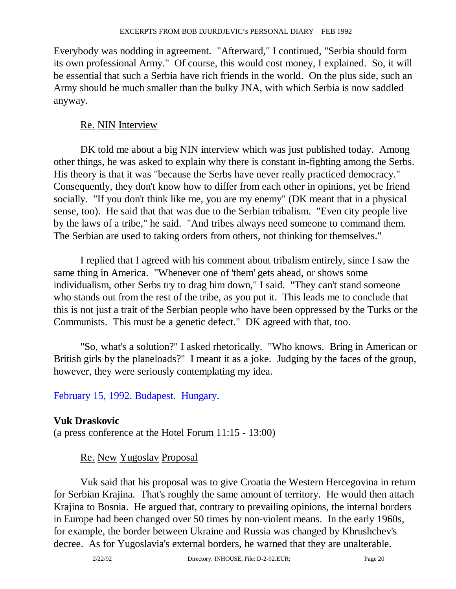Everybody was nodding in agreement. "Afterward," I continued, "Serbia should form its own professional Army." Of course, this would cost money, I explained. So, it will be essential that such a Serbia have rich friends in the world. On the plus side, such an Army should be much smaller than the bulky JNA, with which Serbia is now saddled anyway.

## Re. NIN Interview

 DK told me about a big NIN interview which was just published today. Among other things, he was asked to explain why there is constant in-fighting among the Serbs. His theory is that it was "because the Serbs have never really practiced democracy." Consequently, they don't know how to differ from each other in opinions, yet be friend socially. "If you don't think like me, you are my enemy" (DK meant that in a physical sense, too). He said that that was due to the Serbian tribalism. "Even city people live by the laws of a tribe," he said. "And tribes always need someone to command them. The Serbian are used to taking orders from others, not thinking for themselves."

 I replied that I agreed with his comment about tribalism entirely, since I saw the same thing in America. "Whenever one of 'them' gets ahead, or shows some individualism, other Serbs try to drag him down," I said. "They can't stand someone who stands out from the rest of the tribe, as you put it. This leads me to conclude that this is not just a trait of the Serbian people who have been oppressed by the Turks or the Communists. This must be a genetic defect." DK agreed with that, too.

 "So, what's a solution?" I asked rhetorically. "Who knows. Bring in American or British girls by the planeloads?" I meant it as a joke. Judging by the faces of the group, however, they were seriously contemplating my idea.

February 15, 1992. Budapest. Hungary.

## **Vuk Draskovic**

(a press conference at the Hotel Forum 11:15 - 13:00)

## Re. New Yugoslav Proposal

 Vuk said that his proposal was to give Croatia the Western Hercegovina in return for Serbian Krajina. That's roughly the same amount of territory. He would then attach Krajina to Bosnia. He argued that, contrary to prevailing opinions, the internal borders in Europe had been changed over 50 times by non-violent means. In the early 1960s, for example, the border between Ukraine and Russia was changed by Khrushchev's decree. As for Yugoslavia's external borders, he warned that they are unalterable.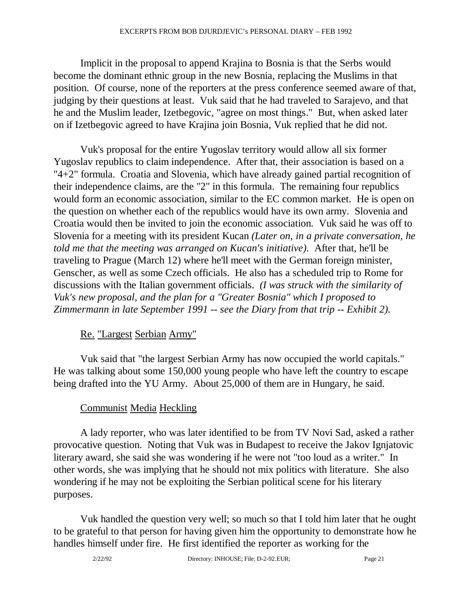Implicit in the proposal to append Krajina to Bosnia is that the Serbs would become the dominant ethnic group in the new Bosnia, replacing the Muslims in that position. Of course, none of the reporters at the press conference seemed aware of that, judging by their questions at least. Vuk said that he had traveled to Sarajevo, and that he and the Muslim leader, Izetbegovic, "agree on most things." But, when asked later on if Izetbegovic agreed to have Krajina join Bosnia, Vuk replied that he did not.

 Vuk's proposal for the entire Yugoslav territory would allow all six former Yugoslav republics to claim independence. After that, their association is based on a "4+2" formula. Croatia and Slovenia, which have already gained partial recognition of their independence claims, are the "2" in this formula. The remaining four republics would form an economic association, similar to the EC common market. He is open on the question on whether each of the republics would have its own army. Slovenia and Croatia would then be invited to join the economic association. Vuk said he was off to Slovenia for a meeting with its president Kucan *(Later on, in a private conversation, he told me that the meeting was arranged on Kucan's initiative)*. After that, he'll be traveling to Prague (March 12) where he'll meet with the German foreign minister, Genscher, as well as some Czech officials. He also has a scheduled trip to Rome for discussions with the Italian government officials. *(I was struck with the similarity of Vuk's new proposal, and the plan for a "Greater Bosnia" which I proposed to Zimmermann in late September 1991 -- see the Diary from that trip -- Exhibit 2)*.

## Re. "Largest Serbian Army"

 Vuk said that "the largest Serbian Army has now occupied the world capitals." He was talking about some 150,000 young people who have left the country to escape being drafted into the YU Army. About 25,000 of them are in Hungary, he said.

## Communist Media Heckling

 A lady reporter, who was later identified to be from TV Novi Sad, asked a rather provocative question. Noting that Vuk was in Budapest to receive the Jakov Ignjatovic literary award, she said she was wondering if he were not "too loud as a writer." In other words, she was implying that he should not mix politics with literature. She also wondering if he may not be exploiting the Serbian political scene for his literary purposes.

 Vuk handled the question very well; so much so that I told him later that he ought to be grateful to that person for having given him the opportunity to demonstrate how he handles himself under fire. He first identified the reporter as working for the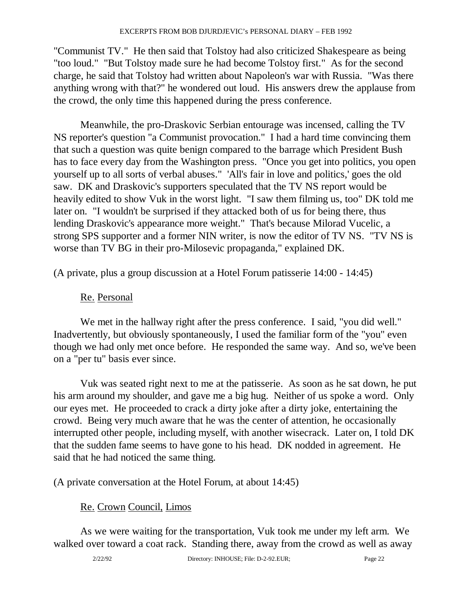"Communist TV." He then said that Tolstoy had also criticized Shakespeare as being "too loud." "But Tolstoy made sure he had become Tolstoy first." As for the second charge, he said that Tolstoy had written about Napoleon's war with Russia. "Was there anything wrong with that?" he wondered out loud. His answers drew the applause from the crowd, the only time this happened during the press conference.

 Meanwhile, the pro-Draskovic Serbian entourage was incensed, calling the TV NS reporter's question "a Communist provocation." I had a hard time convincing them that such a question was quite benign compared to the barrage which President Bush has to face every day from the Washington press. "Once you get into politics, you open yourself up to all sorts of verbal abuses." 'All's fair in love and politics,' goes the old saw. DK and Draskovic's supporters speculated that the TV NS report would be heavily edited to show Vuk in the worst light. "I saw them filming us, too" DK told me later on. "I wouldn't be surprised if they attacked both of us for being there, thus lending Draskovic's appearance more weight." That's because Milorad Vucelic, a strong SPS supporter and a former NIN writer, is now the editor of TV NS. "TV NS is worse than TV BG in their pro-Milosevic propaganda," explained DK.

(A private, plus a group discussion at a Hotel Forum patisserie 14:00 - 14:45)

## Re. Personal

 We met in the hallway right after the press conference. I said, "you did well." Inadvertently, but obviously spontaneously, I used the familiar form of the "you" even though we had only met once before. He responded the same way. And so, we've been on a "per tu" basis ever since.

 Vuk was seated right next to me at the patisserie. As soon as he sat down, he put his arm around my shoulder, and gave me a big hug. Neither of us spoke a word. Only our eyes met. He proceeded to crack a dirty joke after a dirty joke, entertaining the crowd. Being very much aware that he was the center of attention, he occasionally interrupted other people, including myself, with another wisecrack. Later on, I told DK that the sudden fame seems to have gone to his head. DK nodded in agreement. He said that he had noticed the same thing.

(A private conversation at the Hotel Forum, at about 14:45)

## Re. Crown Council, Limos

 As we were waiting for the transportation, Vuk took me under my left arm. We walked over toward a coat rack. Standing there, away from the crowd as well as away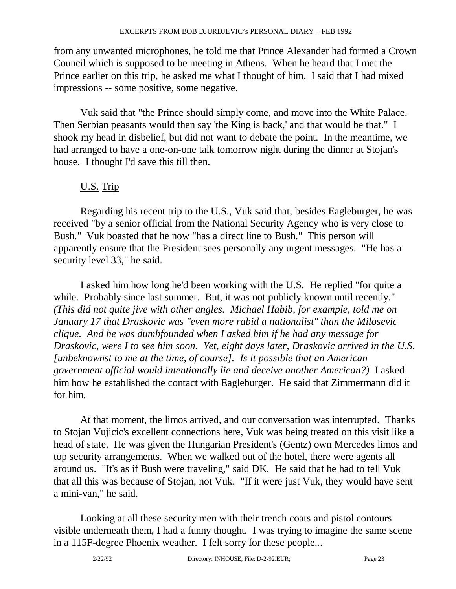from any unwanted microphones, he told me that Prince Alexander had formed a Crown Council which is supposed to be meeting in Athens. When he heard that I met the Prince earlier on this trip, he asked me what I thought of him. I said that I had mixed impressions -- some positive, some negative.

 Vuk said that "the Prince should simply come, and move into the White Palace. Then Serbian peasants would then say 'the King is back,' and that would be that." I shook my head in disbelief, but did not want to debate the point. In the meantime, we had arranged to have a one-on-one talk tomorrow night during the dinner at Stojan's house. I thought I'd save this till then.

## U.S. Trip

 Regarding his recent trip to the U.S., Vuk said that, besides Eagleburger, he was received "by a senior official from the National Security Agency who is very close to Bush." Vuk boasted that he now "has a direct line to Bush." This person will apparently ensure that the President sees personally any urgent messages. "He has a security level 33," he said.

 I asked him how long he'd been working with the U.S. He replied "for quite a while. Probably since last summer. But, it was not publicly known until recently." *(This did not quite jive with other angles. Michael Habib, for example, told me on January 17 that Draskovic was "even more rabid a nationalist" than the Milosevic clique. And he was dumbfounded when I asked him if he had any message for Draskovic, were I to see him soon. Yet, eight days later, Draskovic arrived in the U.S. [unbeknownst to me at the time, of course]. Is it possible that an American government official would intentionally lie and deceive another American?)* I asked him how he established the contact with Eagleburger. He said that Zimmermann did it for him.

 At that moment, the limos arrived, and our conversation was interrupted. Thanks to Stojan Vujicic's excellent connections here, Vuk was being treated on this visit like a head of state. He was given the Hungarian President's (Gentz) own Mercedes limos and top security arrangements. When we walked out of the hotel, there were agents all around us. "It's as if Bush were traveling," said DK. He said that he had to tell Vuk that all this was because of Stojan, not Vuk. "If it were just Vuk, they would have sent a mini-van," he said.

 Looking at all these security men with their trench coats and pistol contours visible underneath them, I had a funny thought. I was trying to imagine the same scene in a 115F-degree Phoenix weather. I felt sorry for these people...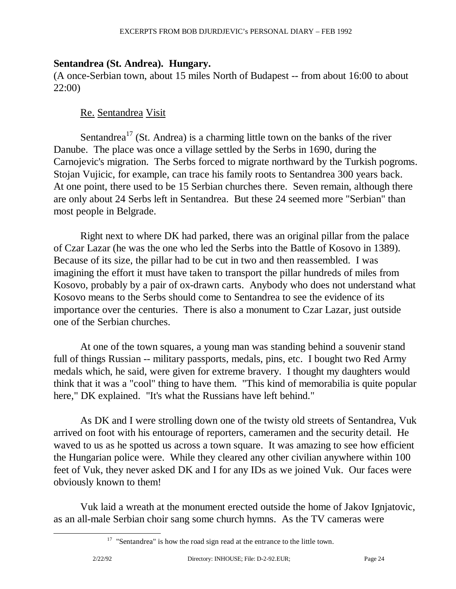## **Sentandrea (St. Andrea). Hungary.**

(A once-Serbian town, about 15 miles North of Budapest -- from about 16:00 to about 22:00)

### Re. Sentandrea Visit

Sentandrea<sup>17</sup> (St. Andrea) is a charming little town on the banks of the river Danube. The place was once a village settled by the Serbs in 1690, during the Carnojevic's migration. The Serbs forced to migrate northward by the Turkish pogroms. Stojan Vujicic, for example, can trace his family roots to Sentandrea 300 years back. At one point, there used to be 15 Serbian churches there. Seven remain, although there are only about 24 Serbs left in Sentandrea. But these 24 seemed more "Serbian" than most people in Belgrade.

 Right next to where DK had parked, there was an original pillar from the palace of Czar Lazar (he was the one who led the Serbs into the Battle of Kosovo in 1389). Because of its size, the pillar had to be cut in two and then reassembled. I was imagining the effort it must have taken to transport the pillar hundreds of miles from Kosovo, probably by a pair of ox-drawn carts. Anybody who does not understand what Kosovo means to the Serbs should come to Sentandrea to see the evidence of its importance over the centuries. There is also a monument to Czar Lazar, just outside one of the Serbian churches.

 At one of the town squares, a young man was standing behind a souvenir stand full of things Russian -- military passports, medals, pins, etc. I bought two Red Army medals which, he said, were given for extreme bravery. I thought my daughters would think that it was a "cool" thing to have them. "This kind of memorabilia is quite popular here," DK explained. "It's what the Russians have left behind."

 As DK and I were strolling down one of the twisty old streets of Sentandrea, Vuk arrived on foot with his entourage of reporters, cameramen and the security detail. He waved to us as he spotted us across a town square. It was amazing to see how efficient the Hungarian police were. While they cleared any other civilian anywhere within 100 feet of Vuk, they never asked DK and I for any IDs as we joined Vuk. Our faces were obviously known to them!

 Vuk laid a wreath at the monument erected outside the home of Jakov Ignjatovic, as an all-male Serbian choir sang some church hymns. As the TV cameras were

 $17$  "Sentandrea" is how the road sign read at the entrance to the little town.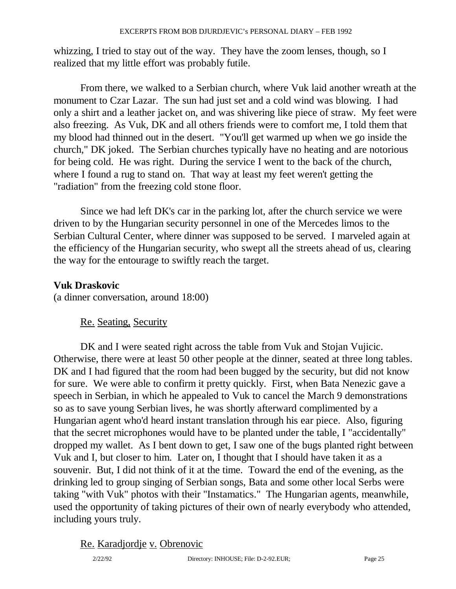whizzing, I tried to stay out of the way. They have the zoom lenses, though, so I realized that my little effort was probably futile.

 From there, we walked to a Serbian church, where Vuk laid another wreath at the monument to Czar Lazar. The sun had just set and a cold wind was blowing. I had only a shirt and a leather jacket on, and was shivering like piece of straw. My feet were also freezing. As Vuk, DK and all others friends were to comfort me, I told them that my blood had thinned out in the desert. "You'll get warmed up when we go inside the church," DK joked. The Serbian churches typically have no heating and are notorious for being cold. He was right. During the service I went to the back of the church, where I found a rug to stand on. That way at least my feet weren't getting the "radiation" from the freezing cold stone floor.

 Since we had left DK's car in the parking lot, after the church service we were driven to by the Hungarian security personnel in one of the Mercedes limos to the Serbian Cultural Center, where dinner was supposed to be served. I marveled again at the efficiency of the Hungarian security, who swept all the streets ahead of us, clearing the way for the entourage to swiftly reach the target.

#### **Vuk Draskovic**

(a dinner conversation, around 18:00)

#### Re. Seating, Security

 DK and I were seated right across the table from Vuk and Stojan Vujicic. Otherwise, there were at least 50 other people at the dinner, seated at three long tables. DK and I had figured that the room had been bugged by the security, but did not know for sure. We were able to confirm it pretty quickly. First, when Bata Nenezic gave a speech in Serbian, in which he appealed to Vuk to cancel the March 9 demonstrations so as to save young Serbian lives, he was shortly afterward complimented by a Hungarian agent who'd heard instant translation through his ear piece. Also, figuring that the secret microphones would have to be planted under the table, I "accidentally" dropped my wallet. As I bent down to get, I saw one of the bugs planted right between Vuk and I, but closer to him. Later on, I thought that I should have taken it as a souvenir. But, I did not think of it at the time. Toward the end of the evening, as the drinking led to group singing of Serbian songs, Bata and some other local Serbs were taking "with Vuk" photos with their "Instamatics." The Hungarian agents, meanwhile, used the opportunity of taking pictures of their own of nearly everybody who attended, including yours truly.

#### Re. Karadjordje v. Obrenovic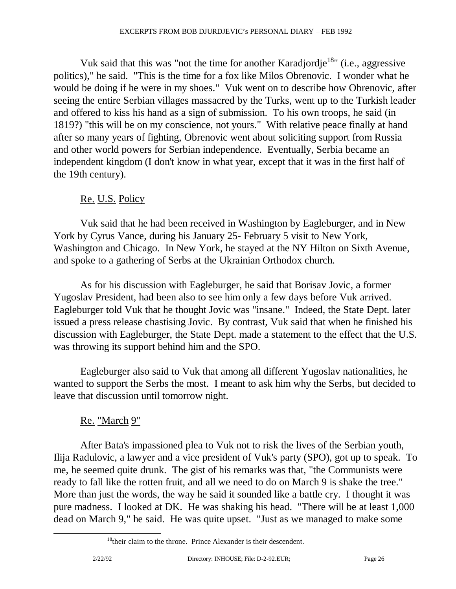Vuk said that this was "not the time for another Karadjordje<sup>18</sup>" (i.e., aggressive politics)," he said. "This is the time for a fox like Milos Obrenovic. I wonder what he would be doing if he were in my shoes." Vuk went on to describe how Obrenovic, after seeing the entire Serbian villages massacred by the Turks, went up to the Turkish leader and offered to kiss his hand as a sign of submission. To his own troops, he said (in 1819?) "this will be on my conscience, not yours." With relative peace finally at hand after so many years of fighting, Obrenovic went about soliciting support from Russia and other world powers for Serbian independence. Eventually, Serbia became an independent kingdom (I don't know in what year, except that it was in the first half of the 19th century).

## Re. U.S. Policy

 Vuk said that he had been received in Washington by Eagleburger, and in New York by Cyrus Vance, during his January 25- February 5 visit to New York, Washington and Chicago. In New York, he stayed at the NY Hilton on Sixth Avenue, and spoke to a gathering of Serbs at the Ukrainian Orthodox church.

 As for his discussion with Eagleburger, he said that Borisav Jovic, a former Yugoslav President, had been also to see him only a few days before Vuk arrived. Eagleburger told Vuk that he thought Jovic was "insane." Indeed, the State Dept. later issued a press release chastising Jovic. By contrast, Vuk said that when he finished his discussion with Eagleburger, the State Dept. made a statement to the effect that the U.S. was throwing its support behind him and the SPO.

 Eagleburger also said to Vuk that among all different Yugoslav nationalities, he wanted to support the Serbs the most. I meant to ask him why the Serbs, but decided to leave that discussion until tomorrow night.

## Re. "March 9"

 After Bata's impassioned plea to Vuk not to risk the lives of the Serbian youth, Ilija Radulovic, a lawyer and a vice president of Vuk's party (SPO), got up to speak. To me, he seemed quite drunk. The gist of his remarks was that, "the Communists were ready to fall like the rotten fruit, and all we need to do on March 9 is shake the tree." More than just the words, the way he said it sounded like a battle cry. I thought it was pure madness. I looked at DK. He was shaking his head. "There will be at least 1,000 dead on March 9," he said. He was quite upset. "Just as we managed to make some

 $18$ <sup>18</sup>their claim to the throne. Prince Alexander is their descendent.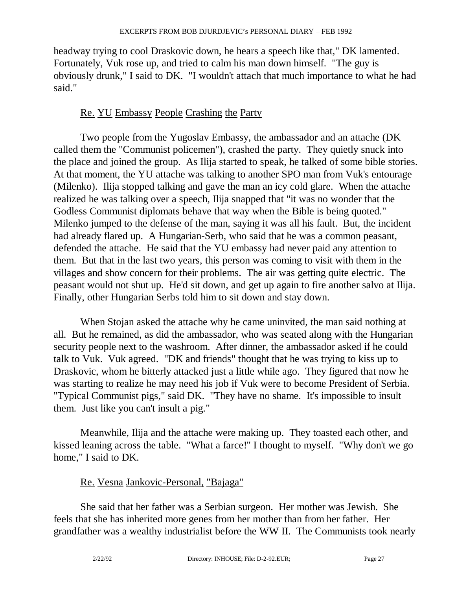headway trying to cool Draskovic down, he hears a speech like that," DK lamented. Fortunately, Vuk rose up, and tried to calm his man down himself. "The guy is obviously drunk," I said to DK. "I wouldn't attach that much importance to what he had said."

## Re. YU Embassy People Crashing the Party

 Two people from the Yugoslav Embassy, the ambassador and an attache (DK called them the "Communist policemen"), crashed the party. They quietly snuck into the place and joined the group. As Ilija started to speak, he talked of some bible stories. At that moment, the YU attache was talking to another SPO man from Vuk's entourage (Milenko). Ilija stopped talking and gave the man an icy cold glare. When the attache realized he was talking over a speech, Ilija snapped that "it was no wonder that the Godless Communist diplomats behave that way when the Bible is being quoted." Milenko jumped to the defense of the man, saying it was all his fault. But, the incident had already flared up. A Hungarian-Serb, who said that he was a common peasant, defended the attache. He said that the YU embassy had never paid any attention to them. But that in the last two years, this person was coming to visit with them in the villages and show concern for their problems. The air was getting quite electric. The peasant would not shut up. He'd sit down, and get up again to fire another salvo at Ilija. Finally, other Hungarian Serbs told him to sit down and stay down.

 When Stojan asked the attache why he came uninvited, the man said nothing at all. But he remained, as did the ambassador, who was seated along with the Hungarian security people next to the washroom. After dinner, the ambassador asked if he could talk to Vuk. Vuk agreed. "DK and friends" thought that he was trying to kiss up to Draskovic, whom he bitterly attacked just a little while ago. They figured that now he was starting to realize he may need his job if Vuk were to become President of Serbia. "Typical Communist pigs," said DK. "They have no shame. It's impossible to insult them. Just like you can't insult a pig."

 Meanwhile, Ilija and the attache were making up. They toasted each other, and kissed leaning across the table. "What a farce!" I thought to myself. "Why don't we go home," I said to DK.

#### Re. Vesna Jankovic-Personal, "Bajaga"

 She said that her father was a Serbian surgeon. Her mother was Jewish. She feels that she has inherited more genes from her mother than from her father. Her grandfather was a wealthy industrialist before the WW II. The Communists took nearly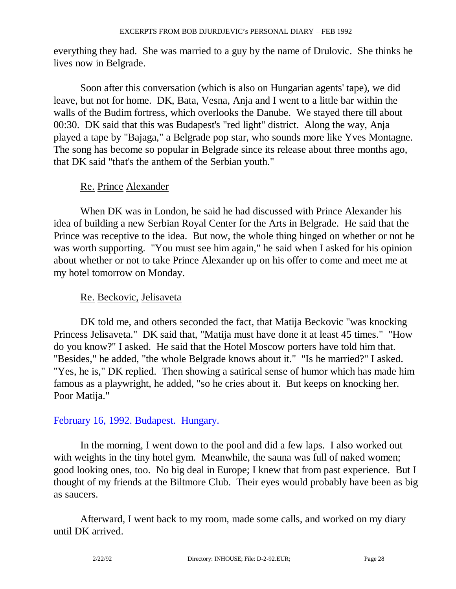everything they had. She was married to a guy by the name of Drulovic. She thinks he lives now in Belgrade.

 Soon after this conversation (which is also on Hungarian agents' tape), we did leave, but not for home. DK, Bata, Vesna, Anja and I went to a little bar within the walls of the Budim fortress, which overlooks the Danube. We stayed there till about 00:30. DK said that this was Budapest's "red light" district. Along the way, Anja played a tape by "Bajaga," a Belgrade pop star, who sounds more like Yves Montagne. The song has become so popular in Belgrade since its release about three months ago, that DK said "that's the anthem of the Serbian youth."

#### Re. Prince Alexander

 When DK was in London, he said he had discussed with Prince Alexander his idea of building a new Serbian Royal Center for the Arts in Belgrade. He said that the Prince was receptive to the idea. But now, the whole thing hinged on whether or not he was worth supporting. "You must see him again," he said when I asked for his opinion about whether or not to take Prince Alexander up on his offer to come and meet me at my hotel tomorrow on Monday.

## Re. Beckovic, Jelisaveta

 DK told me, and others seconded the fact, that Matija Beckovic "was knocking Princess Jelisaveta." DK said that, "Matija must have done it at least 45 times." "How do you know?" I asked. He said that the Hotel Moscow porters have told him that. "Besides," he added, "the whole Belgrade knows about it." "Is he married?" I asked. "Yes, he is," DK replied. Then showing a satirical sense of humor which has made him famous as a playwright, he added, "so he cries about it. But keeps on knocking her. Poor Matija."

#### February 16, 1992. Budapest. Hungary.

 In the morning, I went down to the pool and did a few laps. I also worked out with weights in the tiny hotel gym. Meanwhile, the sauna was full of naked women; good looking ones, too. No big deal in Europe; I knew that from past experience. But I thought of my friends at the Biltmore Club. Their eyes would probably have been as big as saucers.

 Afterward, I went back to my room, made some calls, and worked on my diary until DK arrived.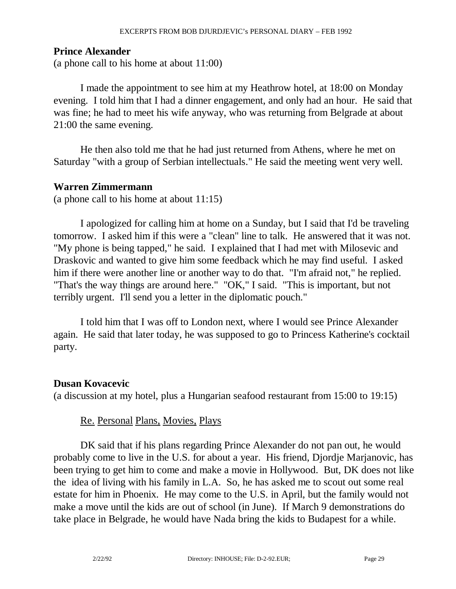#### **Prince Alexander**

(a phone call to his home at about 11:00)

 I made the appointment to see him at my Heathrow hotel, at 18:00 on Monday evening. I told him that I had a dinner engagement, and only had an hour. He said that was fine; he had to meet his wife anyway, who was returning from Belgrade at about 21:00 the same evening.

 He then also told me that he had just returned from Athens, where he met on Saturday "with a group of Serbian intellectuals." He said the meeting went very well.

#### **Warren Zimmermann**

(a phone call to his home at about 11:15)

 I apologized for calling him at home on a Sunday, but I said that I'd be traveling tomorrow. I asked him if this were a "clean" line to talk. He answered that it was not. "My phone is being tapped," he said. I explained that I had met with Milosevic and Draskovic and wanted to give him some feedback which he may find useful. I asked him if there were another line or another way to do that. "I'm afraid not," he replied. "That's the way things are around here." "OK," I said. "This is important, but not terribly urgent. I'll send you a letter in the diplomatic pouch."

 I told him that I was off to London next, where I would see Prince Alexander again. He said that later today, he was supposed to go to Princess Katherine's cocktail party.

#### **Dusan Kovacevic**

(a discussion at my hotel, plus a Hungarian seafood restaurant from 15:00 to 19:15)

## Re. Personal Plans, Movies, Plays

 DK said that if his plans regarding Prince Alexander do not pan out, he would probably come to live in the U.S. for about a year. His friend, Djordje Marjanovic, has been trying to get him to come and make a movie in Hollywood. But, DK does not like the idea of living with his family in L.A. So, he has asked me to scout out some real estate for him in Phoenix. He may come to the U.S. in April, but the family would not make a move until the kids are out of school (in June). If March 9 demonstrations do take place in Belgrade, he would have Nada bring the kids to Budapest for a while.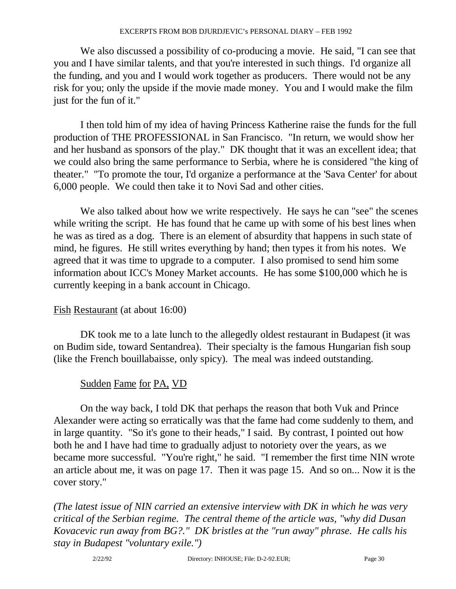We also discussed a possibility of co-producing a movie. He said, "I can see that you and I have similar talents, and that you're interested in such things. I'd organize all the funding, and you and I would work together as producers. There would not be any risk for you; only the upside if the movie made money. You and I would make the film just for the fun of it."

 I then told him of my idea of having Princess Katherine raise the funds for the full production of THE PROFESSIONAL in San Francisco. "In return, we would show her and her husband as sponsors of the play." DK thought that it was an excellent idea; that we could also bring the same performance to Serbia, where he is considered "the king of theater." "To promote the tour, I'd organize a performance at the 'Sava Center' for about 6,000 people. We could then take it to Novi Sad and other cities.

 We also talked about how we write respectively. He says he can "see" the scenes while writing the script. He has found that he came up with some of his best lines when he was as tired as a dog. There is an element of absurdity that happens in such state of mind, he figures. He still writes everything by hand; then types it from his notes. We agreed that it was time to upgrade to a computer. I also promised to send him some information about ICC's Money Market accounts. He has some \$100,000 which he is currently keeping in a bank account in Chicago.

## Fish Restaurant (at about 16:00)

 DK took me to a late lunch to the allegedly oldest restaurant in Budapest (it was on Budim side, toward Sentandrea). Their specialty is the famous Hungarian fish soup (like the French bouillabaisse, only spicy). The meal was indeed outstanding.

## Sudden Fame for PA, VD

 On the way back, I told DK that perhaps the reason that both Vuk and Prince Alexander were acting so erratically was that the fame had come suddenly to them, and in large quantity. "So it's gone to their heads," I said. By contrast, I pointed out how both he and I have had time to gradually adjust to notoriety over the years, as we became more successful. "You're right," he said. "I remember the first time NIN wrote an article about me, it was on page 17. Then it was page 15. And so on... Now it is the cover story."

*(The latest issue of NIN carried an extensive interview with DK in which he was very critical of the Serbian regime. The central theme of the article was, "why did Dusan Kovacevic run away from BG?." DK bristles at the "run away" phrase. He calls his stay in Budapest "voluntary exile.")*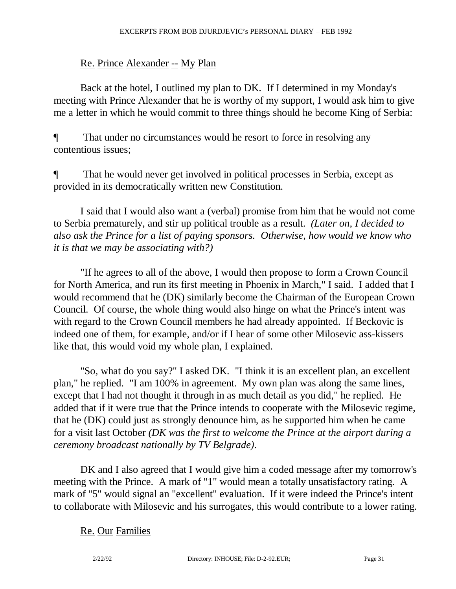### Re. Prince Alexander -- My Plan

 Back at the hotel, I outlined my plan to DK. If I determined in my Monday's meeting with Prince Alexander that he is worthy of my support, I would ask him to give me a letter in which he would commit to three things should he become King of Serbia:

¶ That under no circumstances would he resort to force in resolving any contentious issues;

¶ That he would never get involved in political processes in Serbia, except as provided in its democratically written new Constitution.

 I said that I would also want a (verbal) promise from him that he would not come to Serbia prematurely, and stir up political trouble as a result. *(Later on, I decided to also ask the Prince for a list of paying sponsors. Otherwise, how would we know who it is that we may be associating with?)* 

 "If he agrees to all of the above, I would then propose to form a Crown Council for North America, and run its first meeting in Phoenix in March," I said. I added that I would recommend that he (DK) similarly become the Chairman of the European Crown Council. Of course, the whole thing would also hinge on what the Prince's intent was with regard to the Crown Council members he had already appointed. If Beckovic is indeed one of them, for example, and/or if I hear of some other Milosevic ass-kissers like that, this would void my whole plan, I explained.

 "So, what do you say?" I asked DK. "I think it is an excellent plan, an excellent plan," he replied. "I am 100% in agreement. My own plan was along the same lines, except that I had not thought it through in as much detail as you did," he replied. He added that if it were true that the Prince intends to cooperate with the Milosevic regime, that he (DK) could just as strongly denounce him, as he supported him when he came for a visit last October *(DK was the first to welcome the Prince at the airport during a ceremony broadcast nationally by TV Belgrade)*.

 DK and I also agreed that I would give him a coded message after my tomorrow's meeting with the Prince. A mark of "1" would mean a totally unsatisfactory rating. A mark of "5" would signal an "excellent" evaluation. If it were indeed the Prince's intent to collaborate with Milosevic and his surrogates, this would contribute to a lower rating.

#### Re. Our Families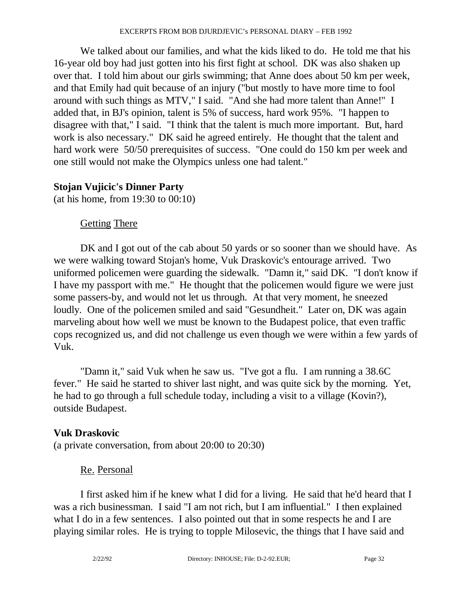We talked about our families, and what the kids liked to do. He told me that his 16-year old boy had just gotten into his first fight at school. DK was also shaken up over that. I told him about our girls swimming; that Anne does about 50 km per week, and that Emily had quit because of an injury ("but mostly to have more time to fool around with such things as MTV," I said. "And she had more talent than Anne!" I added that, in BJ's opinion, talent is 5% of success, hard work 95%. "I happen to disagree with that," I said. "I think that the talent is much more important. But, hard work is also necessary." DK said he agreed entirely. He thought that the talent and hard work were 50/50 prerequisites of success. "One could do 150 km per week and one still would not make the Olympics unless one had talent."

#### **Stojan Vujicic's Dinner Party**

(at his home, from 19:30 to 00:10)

### Getting There

DK and I got out of the cab about 50 yards or so sooner than we should have. As we were walking toward Stojan's home, Vuk Draskovic's entourage arrived. Two uniformed policemen were guarding the sidewalk. "Damn it," said DK. "I don't know if I have my passport with me." He thought that the policemen would figure we were just some passers-by, and would not let us through. At that very moment, he sneezed loudly. One of the policemen smiled and said "Gesundheit." Later on, DK was again marveling about how well we must be known to the Budapest police, that even traffic cops recognized us, and did not challenge us even though we were within a few yards of Vuk.

 "Damn it," said Vuk when he saw us. "I've got a flu. I am running a 38.6C fever." He said he started to shiver last night, and was quite sick by the morning. Yet, he had to go through a full schedule today, including a visit to a village (Kovin?), outside Budapest.

## **Vuk Draskovic**

(a private conversation, from about 20:00 to 20:30)

## Re. Personal

 I first asked him if he knew what I did for a living. He said that he'd heard that I was a rich businessman. I said "I am not rich, but I am influential." I then explained what I do in a few sentences. I also pointed out that in some respects he and I are playing similar roles. He is trying to topple Milosevic, the things that I have said and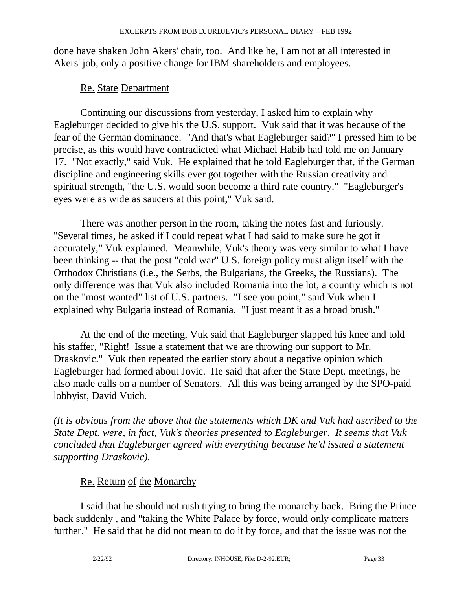done have shaken John Akers' chair, too. And like he, I am not at all interested in Akers' job, only a positive change for IBM shareholders and employees.

#### Re. State Department

 Continuing our discussions from yesterday, I asked him to explain why Eagleburger decided to give his the U.S. support. Vuk said that it was because of the fear of the German dominance. "And that's what Eagleburger said?" I pressed him to be precise, as this would have contradicted what Michael Habib had told me on January 17. "Not exactly," said Vuk. He explained that he told Eagleburger that, if the German discipline and engineering skills ever got together with the Russian creativity and spiritual strength, "the U.S. would soon become a third rate country." "Eagleburger's eyes were as wide as saucers at this point," Vuk said.

 There was another person in the room, taking the notes fast and furiously. "Several times, he asked if I could repeat what I had said to make sure he got it accurately," Vuk explained. Meanwhile, Vuk's theory was very similar to what I have been thinking -- that the post "cold war" U.S. foreign policy must align itself with the Orthodox Christians (i.e., the Serbs, the Bulgarians, the Greeks, the Russians). The only difference was that Vuk also included Romania into the lot, a country which is not on the "most wanted" list of U.S. partners. "I see you point," said Vuk when I explained why Bulgaria instead of Romania. "I just meant it as a broad brush."

 At the end of the meeting, Vuk said that Eagleburger slapped his knee and told his staffer, "Right! Issue a statement that we are throwing our support to Mr. Draskovic." Vuk then repeated the earlier story about a negative opinion which Eagleburger had formed about Jovic. He said that after the State Dept. meetings, he also made calls on a number of Senators. All this was being arranged by the SPO-paid lobbyist, David Vuich.

*(It is obvious from the above that the statements which DK and Vuk had ascribed to the State Dept. were, in fact, Vuk's theories presented to Eagleburger. It seems that Vuk concluded that Eagleburger agreed with everything because he'd issued a statement supporting Draskovic)*.

## Re. Return of the Monarchy

 I said that he should not rush trying to bring the monarchy back. Bring the Prince back suddenly , and "taking the White Palace by force, would only complicate matters further." He said that he did not mean to do it by force, and that the issue was not the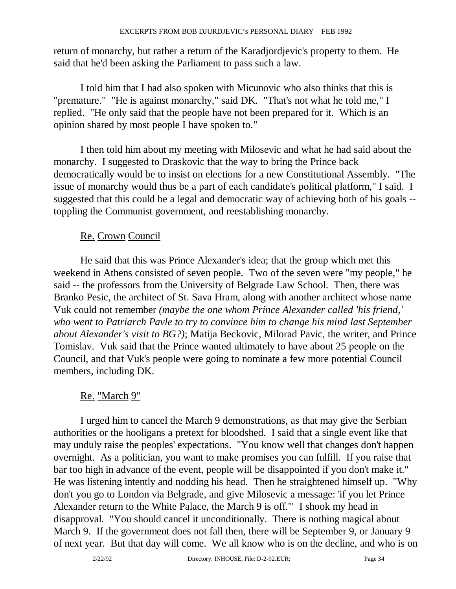return of monarchy, but rather a return of the Karadjordjevic's property to them. He said that he'd been asking the Parliament to pass such a law.

 I told him that I had also spoken with Micunovic who also thinks that this is "premature." "He is against monarchy," said DK. "That's not what he told me," I replied. "He only said that the people have not been prepared for it. Which is an opinion shared by most people I have spoken to."

 I then told him about my meeting with Milosevic and what he had said about the monarchy. I suggested to Draskovic that the way to bring the Prince back democratically would be to insist on elections for a new Constitutional Assembly. "The issue of monarchy would thus be a part of each candidate's political platform," I said. I suggested that this could be a legal and democratic way of achieving both of his goals - toppling the Communist government, and reestablishing monarchy.

### Re. Crown Council

 He said that this was Prince Alexander's idea; that the group which met this weekend in Athens consisted of seven people. Two of the seven were "my people," he said -- the professors from the University of Belgrade Law School. Then, there was Branko Pesic, the architect of St. Sava Hram, along with another architect whose name Vuk could not remember *(maybe the one whom Prince Alexander called 'his friend,' who went to Patriarch Pavle to try to convince him to change his mind last September about Alexander's visit to BG?)*; Matija Beckovic, Milorad Pavic, the writer, and Prince Tomislav. Vuk said that the Prince wanted ultimately to have about 25 people on the Council, and that Vuk's people were going to nominate a few more potential Council members, including DK.

## Re. "March 9"

 I urged him to cancel the March 9 demonstrations, as that may give the Serbian authorities or the hooligans a pretext for bloodshed. I said that a single event like that may unduly raise the peoples' expectations. "You know well that changes don't happen overnight. As a politician, you want to make promises you can fulfill. If you raise that bar too high in advance of the event, people will be disappointed if you don't make it." He was listening intently and nodding his head. Then he straightened himself up. "Why don't you go to London via Belgrade, and give Milosevic a message: 'if you let Prince Alexander return to the White Palace, the March 9 is off.'" I shook my head in disapproval. "You should cancel it unconditionally. There is nothing magical about March 9. If the government does not fall then, there will be September 9, or January 9 of next year. But that day will come. We all know who is on the decline, and who is on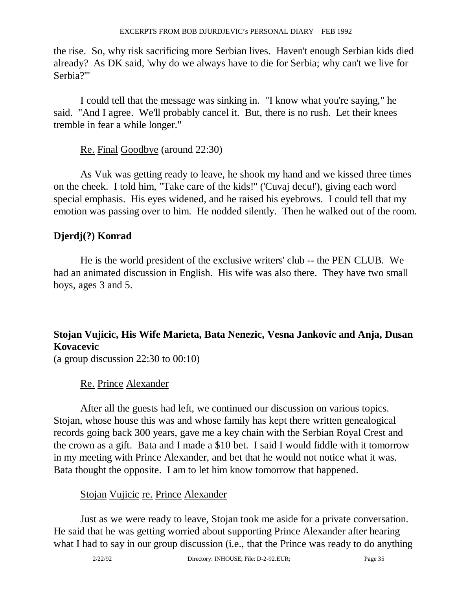the rise. So, why risk sacrificing more Serbian lives. Haven't enough Serbian kids died already? As DK said, 'why do we always have to die for Serbia; why can't we live for Serbia?'"

 I could tell that the message was sinking in. "I know what you're saying," he said. "And I agree. We'll probably cancel it. But, there is no rush. Let their knees tremble in fear a while longer."

Re. Final Goodbye (around 22:30)

 As Vuk was getting ready to leave, he shook my hand and we kissed three times on the cheek. I told him, "Take care of the kids!" ('Cuvaj decu!'), giving each word special emphasis. His eyes widened, and he raised his eyebrows. I could tell that my emotion was passing over to him. He nodded silently. Then he walked out of the room.

## **Djerdj(?) Konrad**

 He is the world president of the exclusive writers' club -- the PEN CLUB. We had an animated discussion in English. His wife was also there. They have two small boys, ages 3 and 5.

## **Stojan Vujicic, His Wife Marieta, Bata Nenezic, Vesna Jankovic and Anja, Dusan Kovacevic**

(a group discussion 22:30 to 00:10)

## Re. Prince Alexander

 After all the guests had left, we continued our discussion on various topics. Stojan, whose house this was and whose family has kept there written genealogical records going back 300 years, gave me a key chain with the Serbian Royal Crest and the crown as a gift. Bata and I made a \$10 bet. I said I would fiddle with it tomorrow in my meeting with Prince Alexander, and bet that he would not notice what it was. Bata thought the opposite. I am to let him know tomorrow that happened.

## Stojan Vujicic re. Prince Alexander

 Just as we were ready to leave, Stojan took me aside for a private conversation. He said that he was getting worried about supporting Prince Alexander after hearing what I had to say in our group discussion (i.e., that the Prince was ready to do anything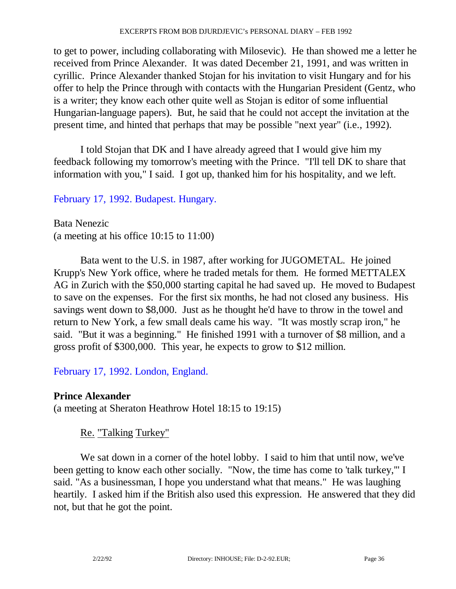to get to power, including collaborating with Milosevic). He than showed me a letter he received from Prince Alexander. It was dated December 21, 1991, and was written in cyrillic. Prince Alexander thanked Stojan for his invitation to visit Hungary and for his offer to help the Prince through with contacts with the Hungarian President (Gentz, who is a writer; they know each other quite well as Stojan is editor of some influential Hungarian-language papers). But, he said that he could not accept the invitation at the present time, and hinted that perhaps that may be possible "next year" (i.e., 1992).

 I told Stojan that DK and I have already agreed that I would give him my feedback following my tomorrow's meeting with the Prince. "I'll tell DK to share that information with you," I said. I got up, thanked him for his hospitality, and we left.

February 17, 1992. Budapest. Hungary.

Bata Nenezic (a meeting at his office 10:15 to 11:00)

 Bata went to the U.S. in 1987, after working for JUGOMETAL. He joined Krupp's New York office, where he traded metals for them. He formed METTALEX AG in Zurich with the \$50,000 starting capital he had saved up. He moved to Budapest to save on the expenses. For the first six months, he had not closed any business. His savings went down to \$8,000. Just as he thought he'd have to throw in the towel and return to New York, a few small deals came his way. "It was mostly scrap iron," he said. "But it was a beginning." He finished 1991 with a turnover of \$8 million, and a gross profit of \$300,000. This year, he expects to grow to \$12 million.

February 17, 1992. London, England.

#### **Prince Alexander**

(a meeting at Sheraton Heathrow Hotel 18:15 to 19:15)

## Re. "Talking Turkey"

 We sat down in a corner of the hotel lobby. I said to him that until now, we've been getting to know each other socially. "Now, the time has come to 'talk turkey,'" I said. "As a businessman, I hope you understand what that means." He was laughing heartily. I asked him if the British also used this expression. He answered that they did not, but that he got the point.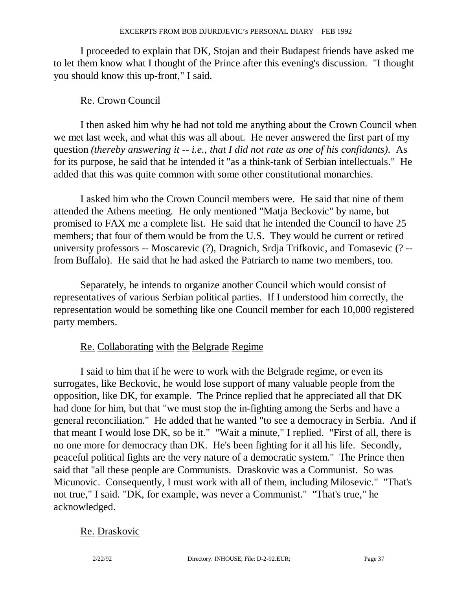I proceeded to explain that DK, Stojan and their Budapest friends have asked me to let them know what I thought of the Prince after this evening's discussion. "I thought you should know this up-front," I said.

### Re. Crown Council

 I then asked him why he had not told me anything about the Crown Council when we met last week, and what this was all about. He never answered the first part of my question *(thereby answering it -- i.e., that I did not rate as one of his confidants)*. As for its purpose, he said that he intended it "as a think-tank of Serbian intellectuals." He added that this was quite common with some other constitutional monarchies.

 I asked him who the Crown Council members were. He said that nine of them attended the Athens meeting. He only mentioned "Matja Beckovic" by name, but promised to FAX me a complete list. He said that he intended the Council to have 25 members; that four of them would be from the U.S. They would be current or retired university professors -- Moscarevic (?), Dragnich, Srdja Trifkovic, and Tomasevic (? - from Buffalo). He said that he had asked the Patriarch to name two members, too.

 Separately, he intends to organize another Council which would consist of representatives of various Serbian political parties. If I understood him correctly, the representation would be something like one Council member for each 10,000 registered party members.

## Re. Collaborating with the Belgrade Regime

 I said to him that if he were to work with the Belgrade regime, or even its surrogates, like Beckovic, he would lose support of many valuable people from the opposition, like DK, for example. The Prince replied that he appreciated all that DK had done for him, but that "we must stop the in-fighting among the Serbs and have a general reconciliation." He added that he wanted "to see a democracy in Serbia. And if that meant I would lose DK, so be it." "Wait a minute," I replied. "First of all, there is no one more for democracy than DK. He's been fighting for it all his life. Secondly, peaceful political fights are the very nature of a democratic system." The Prince then said that "all these people are Communists. Draskovic was a Communist. So was Micunovic. Consequently, I must work with all of them, including Milosevic." "That's not true," I said. "DK, for example, was never a Communist." "That's true," he acknowledged.

## Re. Draskovic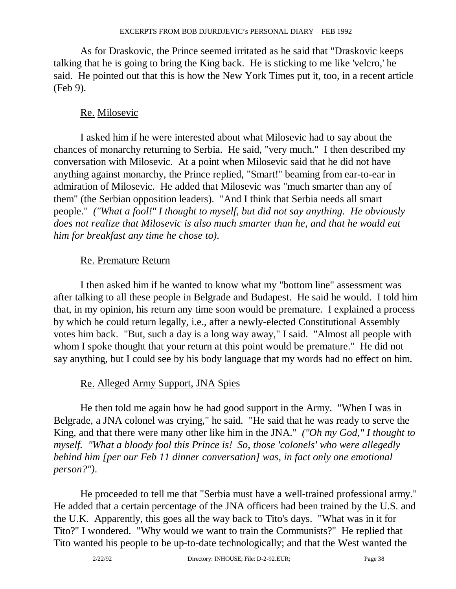As for Draskovic, the Prince seemed irritated as he said that "Draskovic keeps talking that he is going to bring the King back. He is sticking to me like 'velcro,' he said. He pointed out that this is how the New York Times put it, too, in a recent article (Feb 9).

## Re. Milosevic

 I asked him if he were interested about what Milosevic had to say about the chances of monarchy returning to Serbia. He said, "very much." I then described my conversation with Milosevic. At a point when Milosevic said that he did not have anything against monarchy, the Prince replied, "Smart!" beaming from ear-to-ear in admiration of Milosevic. He added that Milosevic was "much smarter than any of them" (the Serbian opposition leaders). "And I think that Serbia needs all smart people." *("What a fool!" I thought to myself, but did not say anything. He obviously does not realize that Milosevic is also much smarter than he, and that he would eat him for breakfast any time he chose to)*.

### Re. Premature Return

 I then asked him if he wanted to know what my "bottom line" assessment was after talking to all these people in Belgrade and Budapest. He said he would. I told him that, in my opinion, his return any time soon would be premature. I explained a process by which he could return legally, i.e., after a newly-elected Constitutional Assembly votes him back. "But, such a day is a long way away," I said. "Almost all people with whom I spoke thought that your return at this point would be premature." He did not say anything, but I could see by his body language that my words had no effect on him.

## Re. Alleged Army Support, JNA Spies

 He then told me again how he had good support in the Army. "When I was in Belgrade, a JNA colonel was crying," he said. "He said that he was ready to serve the King, and that there were many other like him in the JNA." *("Oh my God," I thought to myself. "What a bloody fool this Prince is! So, those 'colonels' who were allegedly behind him [per our Feb 11 dinner conversation] was, in fact only one emotional person?")*.

 He proceeded to tell me that "Serbia must have a well-trained professional army." He added that a certain percentage of the JNA officers had been trained by the U.S. and the U.K. Apparently, this goes all the way back to Tito's days. "What was in it for Tito?" I wondered. "Why would we want to train the Communists?" He replied that Tito wanted his people to be up-to-date technologically; and that the West wanted the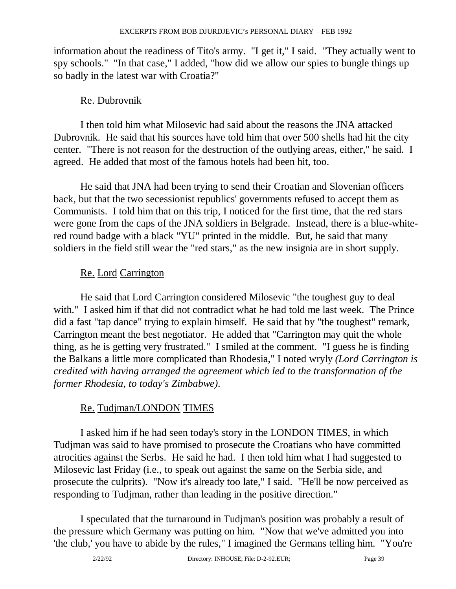information about the readiness of Tito's army. "I get it," I said. "They actually went to spy schools." "In that case," I added, "how did we allow our spies to bungle things up so badly in the latest war with Croatia?"

#### Re. Dubrovnik

 I then told him what Milosevic had said about the reasons the JNA attacked Dubrovnik. He said that his sources have told him that over 500 shells had hit the city center. "There is not reason for the destruction of the outlying areas, either," he said. I agreed. He added that most of the famous hotels had been hit, too.

 He said that JNA had been trying to send their Croatian and Slovenian officers back, but that the two secessionist republics' governments refused to accept them as Communists. I told him that on this trip, I noticed for the first time, that the red stars were gone from the caps of the JNA soldiers in Belgrade. Instead, there is a blue-whitered round badge with a black "YU" printed in the middle. But, he said that many soldiers in the field still wear the "red stars," as the new insignia are in short supply.

### Re. Lord Carrington

 He said that Lord Carrington considered Milosevic "the toughest guy to deal with." I asked him if that did not contradict what he had told me last week. The Prince did a fast "tap dance" trying to explain himself. He said that by "the toughest" remark, Carrington meant the best negotiator. He added that "Carrington may quit the whole thing, as he is getting very frustrated." I smiled at the comment. "I guess he is finding the Balkans a little more complicated than Rhodesia," I noted wryly *(Lord Carrington is credited with having arranged the agreement which led to the transformation of the former Rhodesia, to today's Zimbabwe)*.

#### Re. Tudjman/LONDON TIMES

 I asked him if he had seen today's story in the LONDON TIMES, in which Tudjman was said to have promised to prosecute the Croatians who have committed atrocities against the Serbs. He said he had. I then told him what I had suggested to Milosevic last Friday (i.e., to speak out against the same on the Serbia side, and prosecute the culprits). "Now it's already too late," I said. "He'll be now perceived as responding to Tudjman, rather than leading in the positive direction."

 I speculated that the turnaround in Tudjman's position was probably a result of the pressure which Germany was putting on him. "Now that we've admitted you into 'the club,' you have to abide by the rules," I imagined the Germans telling him. "You're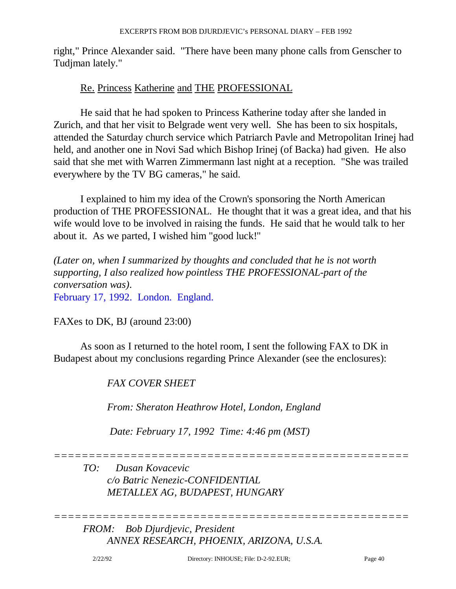right," Prince Alexander said. "There have been many phone calls from Genscher to Tudjman lately."

#### Re. Princess Katherine and THE PROFESSIONAL

 He said that he had spoken to Princess Katherine today after she landed in Zurich, and that her visit to Belgrade went very well. She has been to six hospitals, attended the Saturday church service which Patriarch Pavle and Metropolitan Irinej had held, and another one in Novi Sad which Bishop Irinej (of Backa) had given. He also said that she met with Warren Zimmermann last night at a reception. "She was trailed everywhere by the TV BG cameras," he said.

 I explained to him my idea of the Crown's sponsoring the North American production of THE PROFESSIONAL. He thought that it was a great idea, and that his wife would love to be involved in raising the funds. He said that he would talk to her about it. As we parted, I wished him "good luck!"

*(Later on, when I summarized by thoughts and concluded that he is not worth supporting, I also realized how pointless THE PROFESSIONAL-part of the conversation was)*. February 17, 1992. London. England.

FAXes to DK, BJ (around 23:00)

 As soon as I returned to the hotel room, I sent the following FAX to DK in Budapest about my conclusions regarding Prince Alexander (see the enclosures):

 *FAX COVER SHEET* 

 *From: Sheraton Heathrow Hotel, London, England* 

 *Date: February 17, 1992 Time: 4:46 pm (MST)* 

*===================================================* 

*===================================================* 

 *TO: Dusan Kovacevic c/o Batric Nenezic-CONFIDENTIAL METALLEX AG, BUDAPEST, HUNGARY* 

 *FROM: Bob Djurdjevic, President ANNEX RESEARCH, PHOENIX, ARIZONA, U.S.A.*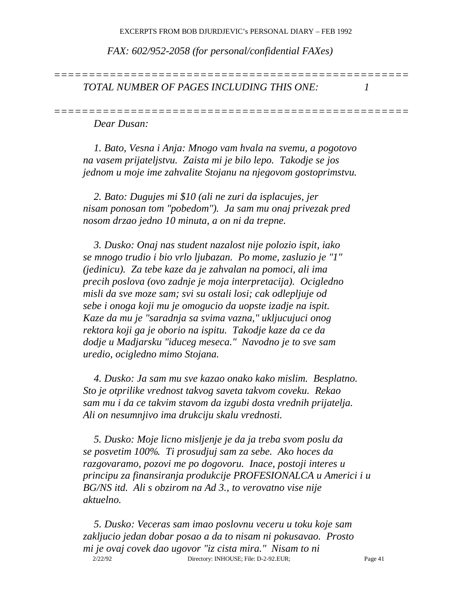*===================================================* 

*===================================================* 

 *FAX: 602/952-2058 (for personal/confidential FAXes)* 

 *TOTAL NUMBER OF PAGES INCLUDING THIS ONE: 1* 

 *Dear Dusan:* 

 *1. Bato, Vesna i Anja: Mnogo vam hvala na svemu, a pogotovo na vasem prijateljstvu. Zaista mi je bilo lepo. Takodje se jos jednom u moje ime zahvalite Stojanu na njegovom gostoprimstvu.* 

 *2. Bato: Dugujes mi \$10 (ali ne zuri da isplacujes, jer nisam ponosan tom "pobedom"). Ja sam mu onaj privezak pred nosom drzao jedno 10 minuta, a on ni da trepne.* 

 *3. Dusko: Onaj nas student nazalost nije polozio ispit, iako se mnogo trudio i bio vrlo ljubazan. Po mome, zasluzio je "1" (jedinicu). Za tebe kaze da je zahvalan na pomoci, ali ima precih poslova (ovo zadnje je moja interpretacija). Ocigledno misli da sve moze sam; svi su ostali losi; cak odlepljuje od sebe i onoga koji mu je omogucio da uopste izadje na ispit. Kaze da mu je "saradnja sa svima vazna," ukljucujuci onog rektora koji ga je oborio na ispitu. Takodje kaze da ce da dodje u Madjarsku "iduceg meseca." Navodno je to sve sam uredio, ocigledno mimo Stojana.* 

 *4. Dusko: Ja sam mu sve kazao onako kako mislim. Besplatno. Sto je otprilike vrednost takvog saveta takvom coveku. Rekao sam mu i da ce takvim stavom da izgubi dosta vrednih prijatelja. Ali on nesumnjivo ima drukciju skalu vrednosti.* 

 *5. Dusko: Moje licno misljenje je da ja treba svom poslu da se posvetim 100%. Ti prosudjuj sam za sebe. Ako hoces da razgovaramo, pozovi me po dogovoru. Inace, postoji interes u principu za finansiranja produkcije PROFESIONALCA u Americi i u BG/NS itd. Ali s obzirom na Ad 3., to verovatno vise nije aktuelno.* 

 2/22/92 Directory: INHOUSE; File: D-2-92.EUR; Page 41  *5. Dusko: Veceras sam imao poslovnu veceru u toku koje sam zakljucio jedan dobar posao a da to nisam ni pokusavao. Prosto mi je ovaj covek dao ugovor "iz cista mira." Nisam to ni*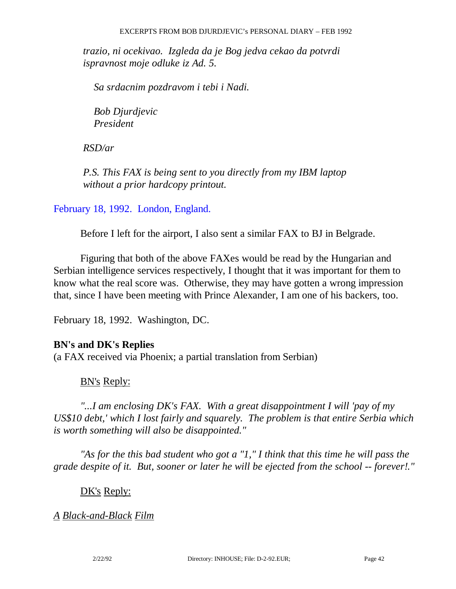*trazio, ni ocekivao. Izgleda da je Bog jedva cekao da potvrdi ispravnost moje odluke iz Ad. 5.* 

 *Sa srdacnim pozdravom i tebi i Nadi.* 

 *Bob Djurdjevic President* 

 *RSD/ar* 

 *P.S. This FAX is being sent to you directly from my IBM laptop without a prior hardcopy printout.* 

February 18, 1992. London, England.

Before I left for the airport, I also sent a similar FAX to BJ in Belgrade.

 Figuring that both of the above FAXes would be read by the Hungarian and Serbian intelligence services respectively, I thought that it was important for them to know what the real score was. Otherwise, they may have gotten a wrong impression that, since I have been meeting with Prince Alexander, I am one of his backers, too.

February 18, 1992. Washington, DC.

#### **BN's and DK's Replies**

(a FAX received via Phoenix; a partial translation from Serbian)

#### BN's Reply:

*"...I am enclosing DK's FAX. With a great disappointment I will 'pay of my US\$10 debt,' which I lost fairly and squarely. The problem is that entire Serbia which is worth something will also be disappointed."* 

 *"As for the this bad student who got a "1," I think that this time he will pass the grade despite of it. But, sooner or later he will be ejected from the school -- forever!."* 

#### DK's Reply:

#### *A Black-and-Black Film*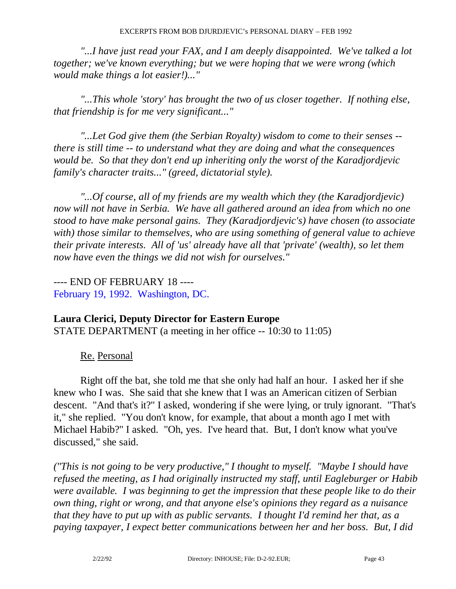*"...I have just read your FAX, and I am deeply disappointed. We've talked a lot together; we've known everything; but we were hoping that we were wrong (which would make things a lot easier!)..."* 

 *"...This whole 'story' has brought the two of us closer together. If nothing else, that friendship is for me very significant..."* 

 *"...Let God give them (the Serbian Royalty) wisdom to come to their senses - there is still time -- to understand what they are doing and what the consequences would be. So that they don't end up inheriting only the worst of the Karadjordjevic family's character traits..." (greed, dictatorial style).* 

 *"...Of course, all of my friends are my wealth which they (the Karadjordjevic) now will not have in Serbia. We have all gathered around an idea from which no one stood to have make personal gains. They (Karadjordjevic's) have chosen (to associate with) those similar to themselves, who are using something of general value to achieve their private interests. All of 'us' already have all that 'private' (wealth), so let them now have even the things we did not wish for ourselves."* 

---- END OF FEBRUARY 18 ---- February 19, 1992. Washington, DC.

#### **Laura Clerici, Deputy Director for Eastern Europe**

STATE DEPARTMENT (a meeting in her office -- 10:30 to 11:05)

Re. Personal

 Right off the bat, she told me that she only had half an hour. I asked her if she knew who I was. She said that she knew that I was an American citizen of Serbian descent. "And that's it?" I asked, wondering if she were lying, or truly ignorant. "That's it," she replied. "You don't know, for example, that about a month ago I met with Michael Habib?" I asked. "Oh, yes. I've heard that. But, I don't know what you've discussed," she said.

*("This is not going to be very productive," I thought to myself. "Maybe I should have refused the meeting, as I had originally instructed my staff, until Eagleburger or Habib were available. I was beginning to get the impression that these people like to do their own thing, right or wrong, and that anyone else's opinions they regard as a nuisance that they have to put up with as public servants. I thought I'd remind her that, as a paying taxpayer, I expect better communications between her and her boss. But, I did*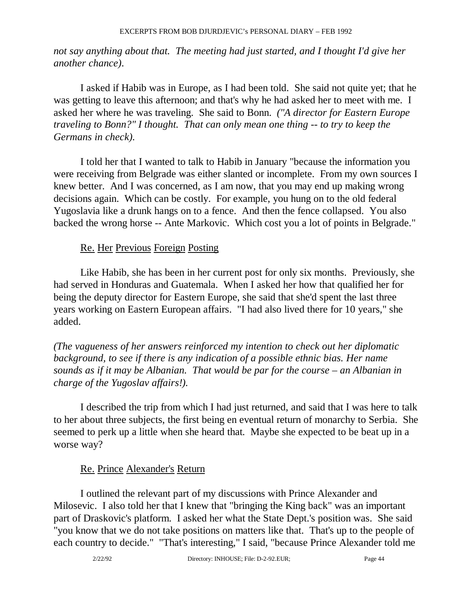*not say anything about that. The meeting had just started, and I thought I'd give her another chance)*.

 I asked if Habib was in Europe, as I had been told. She said not quite yet; that he was getting to leave this afternoon; and that's why he had asked her to meet with me. I asked her where he was traveling. She said to Bonn. *("A director for Eastern Europe traveling to Bonn?" I thought. That can only mean one thing -- to try to keep the Germans in check)*.

 I told her that I wanted to talk to Habib in January "because the information you were receiving from Belgrade was either slanted or incomplete. From my own sources I knew better. And I was concerned, as I am now, that you may end up making wrong decisions again. Which can be costly. For example, you hung on to the old federal Yugoslavia like a drunk hangs on to a fence. And then the fence collapsed. You also backed the wrong horse -- Ante Markovic. Which cost you a lot of points in Belgrade."

### Re. Her Previous Foreign Posting

 Like Habib, she has been in her current post for only six months. Previously, she had served in Honduras and Guatemala. When I asked her how that qualified her for being the deputy director for Eastern Europe, she said that she'd spent the last three years working on Eastern European affairs. "I had also lived there for 10 years," she added.

*(The vagueness of her answers reinforced my intention to check out her diplomatic background, to see if there is any indication of a possible ethnic bias. Her name sounds as if it may be Albanian. That would be par for the course – an Albanian in charge of the Yugoslav affairs!)*.

 I described the trip from which I had just returned, and said that I was here to talk to her about three subjects, the first being en eventual return of monarchy to Serbia. She seemed to perk up a little when she heard that. Maybe she expected to be beat up in a worse way?

#### Re. Prince Alexander's Return

 I outlined the relevant part of my discussions with Prince Alexander and Milosevic. I also told her that I knew that "bringing the King back" was an important part of Draskovic's platform. I asked her what the State Dept.'s position was. She said "you know that we do not take positions on matters like that. That's up to the people of each country to decide." "That's interesting," I said, "because Prince Alexander told me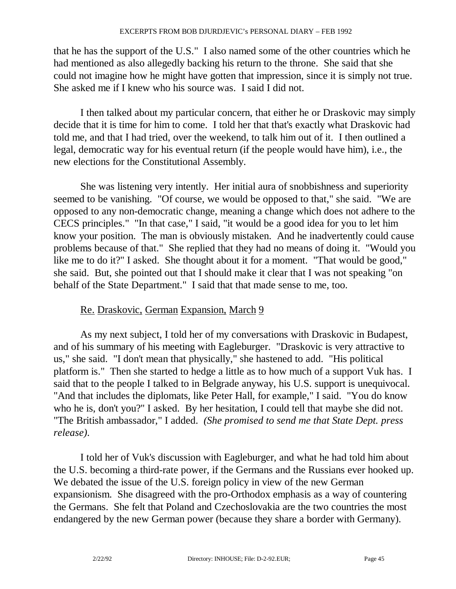that he has the support of the U.S." I also named some of the other countries which he had mentioned as also allegedly backing his return to the throne. She said that she could not imagine how he might have gotten that impression, since it is simply not true. She asked me if I knew who his source was. I said I did not.

 I then talked about my particular concern, that either he or Draskovic may simply decide that it is time for him to come. I told her that that's exactly what Draskovic had told me, and that I had tried, over the weekend, to talk him out of it. I then outlined a legal, democratic way for his eventual return (if the people would have him), i.e., the new elections for the Constitutional Assembly.

 She was listening very intently. Her initial aura of snobbishness and superiority seemed to be vanishing. "Of course, we would be opposed to that," she said. "We are opposed to any non-democratic change, meaning a change which does not adhere to the CECS principles." "In that case," I said, "it would be a good idea for you to let him know your position. The man is obviously mistaken. And he inadvertently could cause problems because of that." She replied that they had no means of doing it. "Would you like me to do it?" I asked. She thought about it for a moment. "That would be good," she said. But, she pointed out that I should make it clear that I was not speaking "on behalf of the State Department." I said that that made sense to me, too.

## Re. Draskovic, German Expansion, March 9

 As my next subject, I told her of my conversations with Draskovic in Budapest, and of his summary of his meeting with Eagleburger. "Draskovic is very attractive to us," she said. "I don't mean that physically," she hastened to add. "His political platform is." Then she started to hedge a little as to how much of a support Vuk has. I said that to the people I talked to in Belgrade anyway, his U.S. support is unequivocal. "And that includes the diplomats, like Peter Hall, for example," I said. "You do know who he is, don't you?" I asked. By her hesitation, I could tell that maybe she did not. "The British ambassador," I added. *(She promised to send me that State Dept. press release)*.

 I told her of Vuk's discussion with Eagleburger, and what he had told him about the U.S. becoming a third-rate power, if the Germans and the Russians ever hooked up. We debated the issue of the U.S. foreign policy in view of the new German expansionism. She disagreed with the pro-Orthodox emphasis as a way of countering the Germans. She felt that Poland and Czechoslovakia are the two countries the most endangered by the new German power (because they share a border with Germany).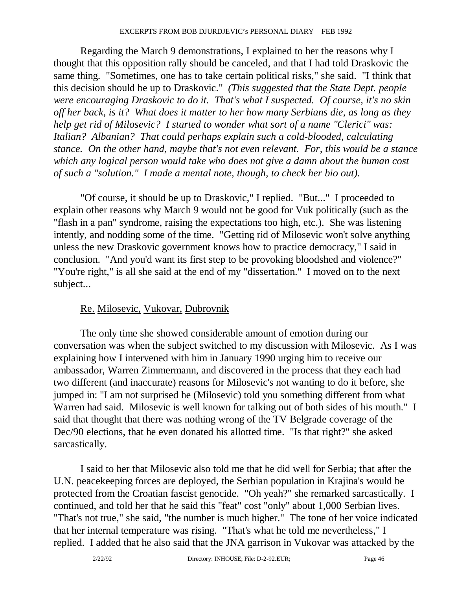Regarding the March 9 demonstrations, I explained to her the reasons why I thought that this opposition rally should be canceled, and that I had told Draskovic the same thing. "Sometimes, one has to take certain political risks," she said. "I think that this decision should be up to Draskovic." *(This suggested that the State Dept. people were encouraging Draskovic to do it. That's what I suspected. Of course, it's no skin off her back, is it? What does it matter to her how many Serbians die, as long as they help get rid of Milosevic? I started to wonder what sort of a name "Clerici" was: Italian? Albanian? That could perhaps explain such a cold-blooded, calculating stance. On the other hand, maybe that's not even relevant. For, this would be a stance which any logical person would take who does not give a damn about the human cost of such a "solution." I made a mental note, though, to check her bio out)*.

 "Of course, it should be up to Draskovic," I replied. "But..." I proceeded to explain other reasons why March 9 would not be good for Vuk politically (such as the "flash in a pan" syndrome, raising the expectations too high, etc.). She was listening intently, and nodding some of the time. "Getting rid of Milosevic won't solve anything unless the new Draskovic government knows how to practice democracy," I said in conclusion. "And you'd want its first step to be provoking bloodshed and violence?" "You're right," is all she said at the end of my "dissertation." I moved on to the next subject...

#### Re. Milosevic, Vukovar, Dubrovnik

 The only time she showed considerable amount of emotion during our conversation was when the subject switched to my discussion with Milosevic. As I was explaining how I intervened with him in January 1990 urging him to receive our ambassador, Warren Zimmermann, and discovered in the process that they each had two different (and inaccurate) reasons for Milosevic's not wanting to do it before, she jumped in: "I am not surprised he (Milosevic) told you something different from what Warren had said. Milosevic is well known for talking out of both sides of his mouth." I said that thought that there was nothing wrong of the TV Belgrade coverage of the Dec/90 elections, that he even donated his allotted time. "Is that right?" she asked sarcastically.

 I said to her that Milosevic also told me that he did well for Serbia; that after the U.N. peacekeeping forces are deployed, the Serbian population in Krajina's would be protected from the Croatian fascist genocide. "Oh yeah?" she remarked sarcastically. I continued, and told her that he said this "feat" cost "only" about 1,000 Serbian lives. "That's not true," she said, "the number is much higher." The tone of her voice indicated that her internal temperature was rising. "That's what he told me nevertheless," I replied. I added that he also said that the JNA garrison in Vukovar was attacked by the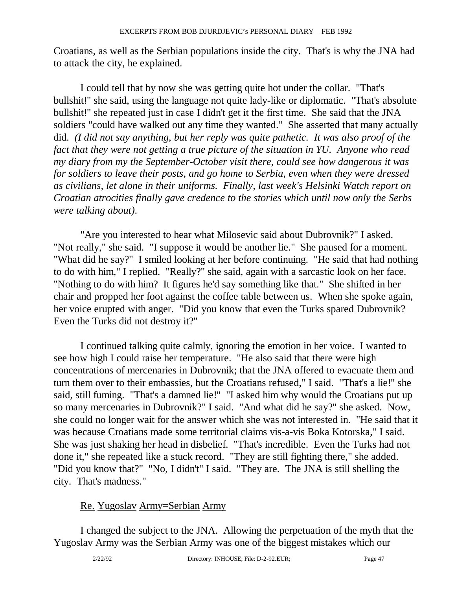Croatians, as well as the Serbian populations inside the city. That's is why the JNA had to attack the city, he explained.

 I could tell that by now she was getting quite hot under the collar. "That's bullshit!" she said, using the language not quite lady-like or diplomatic. "That's absolute bullshit!" she repeated just in case I didn't get it the first time. She said that the JNA soldiers "could have walked out any time they wanted." She asserted that many actually did. *(I did not say anything, but her reply was quite pathetic. It was also proof of the fact that they were not getting a true picture of the situation in YU. Anyone who read my diary from my the September-October visit there, could see how dangerous it was for soldiers to leave their posts, and go home to Serbia, even when they were dressed as civilians, let alone in their uniforms. Finally, last week's Helsinki Watch report on Croatian atrocities finally gave credence to the stories which until now only the Serbs were talking about)*.

 "Are you interested to hear what Milosevic said about Dubrovnik?" I asked. "Not really," she said. "I suppose it would be another lie." She paused for a moment. "What did he say?" I smiled looking at her before continuing. "He said that had nothing to do with him," I replied. "Really?" she said, again with a sarcastic look on her face. "Nothing to do with him? It figures he'd say something like that." She shifted in her chair and propped her foot against the coffee table between us. When she spoke again, her voice erupted with anger. "Did you know that even the Turks spared Dubrovnik? Even the Turks did not destroy it?"

 I continued talking quite calmly, ignoring the emotion in her voice. I wanted to see how high I could raise her temperature. "He also said that there were high concentrations of mercenaries in Dubrovnik; that the JNA offered to evacuate them and turn them over to their embassies, but the Croatians refused," I said. "That's a lie!" she said, still fuming. "That's a damned lie!" "I asked him why would the Croatians put up so many mercenaries in Dubrovnik?" I said. "And what did he say?" she asked. Now, she could no longer wait for the answer which she was not interested in. "He said that it was because Croatians made some territorial claims vis-a-vis Boka Kotorska," I said. She was just shaking her head in disbelief. "That's incredible. Even the Turks had not done it," she repeated like a stuck record. "They are still fighting there," she added. "Did you know that?" "No, I didn't" I said. "They are. The JNA is still shelling the city. That's madness."

## Re. Yugoslav Army=Serbian Army

 I changed the subject to the JNA. Allowing the perpetuation of the myth that the Yugoslav Army was the Serbian Army was one of the biggest mistakes which our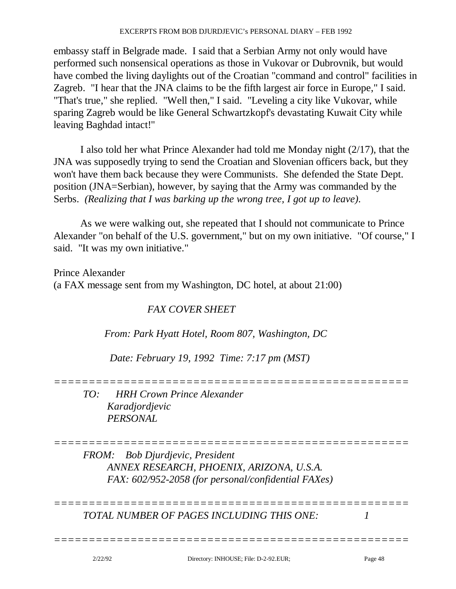embassy staff in Belgrade made. I said that a Serbian Army not only would have performed such nonsensical operations as those in Vukovar or Dubrovnik, but would have combed the living daylights out of the Croatian "command and control" facilities in Zagreb. "I hear that the JNA claims to be the fifth largest air force in Europe," I said. "That's true," she replied. "Well then," I said. "Leveling a city like Vukovar, while sparing Zagreb would be like General Schwartzkopf's devastating Kuwait City while leaving Baghdad intact!"

 I also told her what Prince Alexander had told me Monday night (2/17), that the JNA was supposedly trying to send the Croatian and Slovenian officers back, but they won't have them back because they were Communists. She defended the State Dept. position (JNA=Serbian), however, by saying that the Army was commanded by the Serbs. *(Realizing that I was barking up the wrong tree, I got up to leave)*.

 As we were walking out, she repeated that I should not communicate to Prince Alexander "on behalf of the U.S. government," but on my own initiative. "Of course," I said. "It was my own initiative."

Prince Alexander (a FAX message sent from my Washington, DC hotel, at about 21:00)

## *FAX COVER SHEET*

 *From: Park Hyatt Hotel, Room 807, Washington, DC* 

 *Date: February 19, 1992 Time: 7:17 pm (MST)* 

*===================================================* 

 *TO: HRH Crown Prince Alexander Karadjordjevic PERSONAL* 

*===================================================* 

*===================================================* 

*===================================================* 

 *FROM: Bob Djurdjevic, President ANNEX RESEARCH, PHOENIX, ARIZONA, U.S.A. FAX: 602/952-2058 (for personal/confidential FAXes)* 

 *TOTAL NUMBER OF PAGES INCLUDING THIS ONE: 1*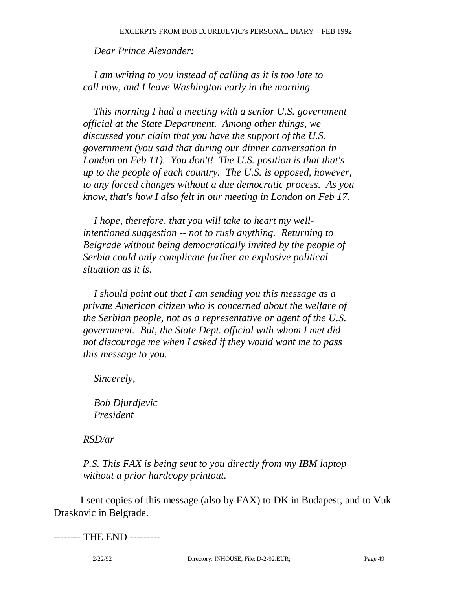*Dear Prince Alexander:* 

 *I am writing to you instead of calling as it is too late to call now, and I leave Washington early in the morning.* 

 *This morning I had a meeting with a senior U.S. government official at the State Department. Among other things, we discussed your claim that you have the support of the U.S. government (you said that during our dinner conversation in London on Feb 11). You don't! The U.S. position is that that's up to the people of each country. The U.S. is opposed, however, to any forced changes without a due democratic process. As you know, that's how I also felt in our meeting in London on Feb 17.* 

 *I hope, therefore, that you will take to heart my well intentioned suggestion -- not to rush anything. Returning to Belgrade without being democratically invited by the people of Serbia could only complicate further an explosive political situation as it is.* 

 *I should point out that I am sending you this message as a private American citizen who is concerned about the welfare of the Serbian people, not as a representative or agent of the U.S. government. But, the State Dept. official with whom I met did not discourage me when I asked if they would want me to pass this message to you.* 

 *Sincerely,* 

 *Bob Djurdjevic President* 

 *RSD/ar* 

 *P.S. This FAX is being sent to you directly from my IBM laptop without a prior hardcopy printout.* 

 I sent copies of this message (also by FAX) to DK in Budapest, and to Vuk Draskovic in Belgrade.

-------- THE END ---------